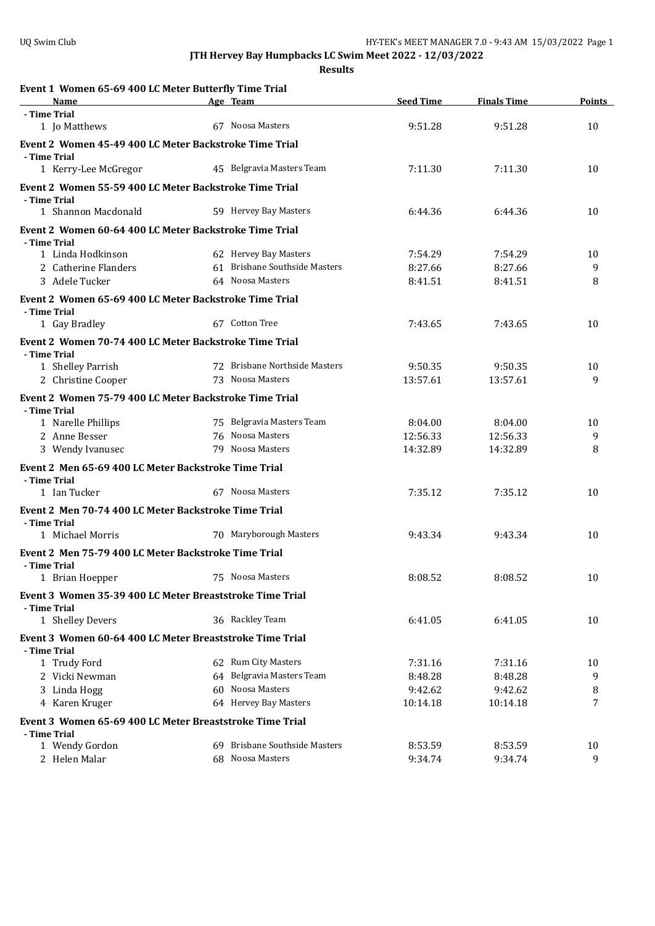| Event 1 Women 65-69 400 LC Meter Butterfly Time Trial<br>Name          | Age Team                      | <b>Seed Time</b> | <b>Finals Time</b> | Points |
|------------------------------------------------------------------------|-------------------------------|------------------|--------------------|--------|
| - Time Trial                                                           |                               |                  |                    |        |
| 1 Jo Matthews                                                          | 67 Noosa Masters              | 9:51.28          | 9:51.28            | 10     |
| Event 2 Women 45-49 400 LC Meter Backstroke Time Trial                 |                               |                  |                    |        |
| - Time Trial<br>1 Kerry-Lee McGregor                                   | 45 Belgravia Masters Team     | 7:11.30          | 7:11.30            | 10     |
| Event 2 Women 55-59 400 LC Meter Backstroke Time Trial                 |                               |                  |                    |        |
| - Time Trial                                                           | 59 Hervey Bay Masters         |                  |                    |        |
| 1 Shannon Macdonald                                                    |                               | 6:44.36          | 6:44.36            | 10     |
| Event 2 Women 60-64 400 LC Meter Backstroke Time Trial<br>- Time Trial |                               |                  |                    |        |
| 1 Linda Hodkinson                                                      | 62 Hervey Bay Masters         | 7:54.29          | 7:54.29            | 10     |
| 2 Catherine Flanders                                                   | 61 Brisbane Southside Masters | 8:27.66          | 8:27.66            | 9      |
| 3 Adele Tucker                                                         | 64 Noosa Masters              | 8:41.51          | 8:41.51            | 8      |
| Event 2 Women 65-69 400 LC Meter Backstroke Time Trial                 |                               |                  |                    |        |
| - Time Trial                                                           |                               |                  |                    |        |
| 1 Gay Bradley                                                          | 67 Cotton Tree                | 7:43.65          | 7:43.65            | 10     |
| Event 2 Women 70-74 400 LC Meter Backstroke Time Trial                 |                               |                  |                    |        |
| - Time Trial                                                           |                               |                  |                    |        |
| 1 Shelley Parrish                                                      | 72 Brisbane Northside Masters | 9:50.35          | 9:50.35            | 10     |
| 2 Christine Cooper                                                     | 73 Noosa Masters              | 13:57.61         | 13:57.61           | 9      |
| Event 2 Women 75-79 400 LC Meter Backstroke Time Trial                 |                               |                  |                    |        |
| - Time Trial                                                           |                               |                  |                    |        |
| 1 Narelle Phillips                                                     | 75 Belgravia Masters Team     | 8:04.00          | 8:04.00            | 10     |
| 2 Anne Besser                                                          | 76 Noosa Masters              | 12:56.33         | 12:56.33           | 9      |
| 3 Wendy Ivanusec                                                       | 79 Noosa Masters              | 14:32.89         | 14:32.89           | 8      |
| Event 2 Men 65-69 400 LC Meter Backstroke Time Trial                   |                               |                  |                    |        |
| - Time Trial<br>1 Ian Tucker                                           | 67 Noosa Masters              | 7:35.12          | 7:35.12            | 10     |
|                                                                        |                               |                  |                    |        |
| Event 2 Men 70-74 400 LC Meter Backstroke Time Trial<br>- Time Trial   |                               |                  |                    |        |
| 1 Michael Morris                                                       | 70 Maryborough Masters        | 9:43.34          | 9:43.34            | 10     |
| Event 2 Men 75-79 400 LC Meter Backstroke Time Trial                   |                               |                  |                    |        |
| - Time Trial                                                           |                               |                  |                    |        |
| 1 Brian Hoepper                                                        | 75 Noosa Masters              | 8:08.52          | 8:08.52            | 10     |
| Event 3 Women 35-39 400 LC Meter Breaststroke Time Trial               |                               |                  |                    |        |
| - Time Trial                                                           |                               |                  |                    |        |
| 1 Shelley Devers                                                       | 36 Rackley Team               | 6:41.05          | 6:41.05            | 10     |
| Event 3 Women 60-64 400 LC Meter Breaststroke Time Trial               |                               |                  |                    |        |
| - Time Trial                                                           |                               |                  |                    |        |
| 1 Trudy Ford                                                           | 62 Rum City Masters           | 7:31.16          | 7:31.16            | 10     |
| 2 Vicki Newman                                                         | 64 Belgravia Masters Team     | 8:48.28          | 8:48.28            | 9      |
| 3 Linda Hogg                                                           | 60 Noosa Masters              | 9:42.62          | 9:42.62            | 8      |
| 4 Karen Kruger                                                         | 64 Hervey Bay Masters         | 10:14.18         | 10:14.18           | 7      |
| Event 3 Women 65-69 400 LC Meter Breaststroke Time Trial               |                               |                  |                    |        |
| - Time Trial                                                           |                               |                  |                    |        |
| 1 Wendy Gordon                                                         | 69 Brisbane Southside Masters | 8:53.59          | 8:53.59            | 10     |
| 2 Helen Malar                                                          | 68 Noosa Masters              | 9:34.74          | 9:34.74            | 9      |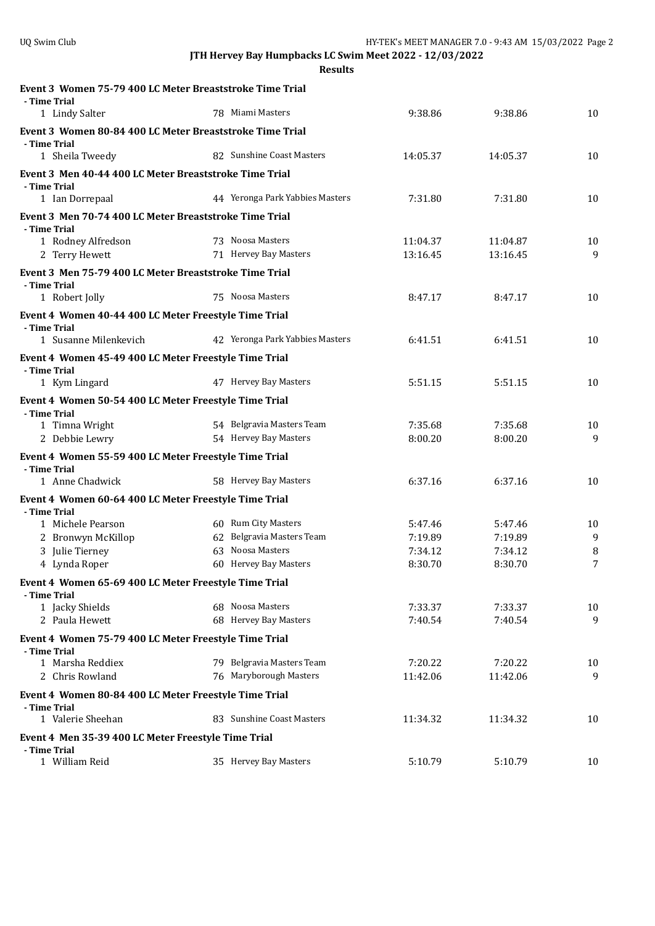| Event 3 Women 75-79 400 LC Meter Breaststroke Time Trial<br>- Time Trial |                                 |                    |                    |         |
|--------------------------------------------------------------------------|---------------------------------|--------------------|--------------------|---------|
| 1 Lindy Salter                                                           | 78 Miami Masters                | 9:38.86            | 9:38.86            | 10      |
| Event 3 Women 80-84 400 LC Meter Breaststroke Time Trial                 |                                 |                    |                    |         |
| - Time Trial<br>1 Sheila Tweedy                                          | 82 Sunshine Coast Masters       | 14:05.37           | 14:05.37           | 10      |
| Event 3 Men 40-44 400 LC Meter Breaststroke Time Trial                   |                                 |                    |                    |         |
| - Time Trial                                                             |                                 |                    |                    |         |
| 1 Ian Dorrepaal                                                          | 44 Yeronga Park Yabbies Masters | 7:31.80            | 7:31.80            | 10      |
| Event 3 Men 70-74 400 LC Meter Breaststroke Time Trial<br>- Time Trial   |                                 |                    |                    |         |
| 1 Rodney Alfredson                                                       | 73 Noosa Masters                | 11:04.37           | 11:04.87           | 10      |
| 2 Terry Hewett                                                           | 71 Hervey Bay Masters           | 13:16.45           | 13:16.45           | 9       |
| Event 3 Men 75-79 400 LC Meter Breaststroke Time Trial<br>- Time Trial   |                                 |                    |                    |         |
| 1 Robert Jolly                                                           | 75 Noosa Masters                | 8:47.17            | 8:47.17            | 10      |
| Event 4 Women 40-44 400 LC Meter Freestyle Time Trial                    |                                 |                    |                    |         |
| - Time Trial<br>1 Susanne Milenkevich                                    | 42 Yeronga Park Yabbies Masters | 6:41.51            | 6:41.51            | 10      |
| Event 4 Women 45-49 400 LC Meter Freestyle Time Trial                    |                                 |                    |                    |         |
| - Time Trial<br>1 Kym Lingard                                            | 47 Hervey Bay Masters           | 5:51.15            | 5:51.15            | 10      |
| Event 4 Women 50-54 400 LC Meter Freestyle Time Trial                    |                                 |                    |                    |         |
| - Time Trial                                                             |                                 |                    |                    |         |
| 1 Timna Wright                                                           | 54 Belgravia Masters Team       | 7:35.68            | 7:35.68            | 10      |
| 2 Debbie Lewry                                                           | 54 Hervey Bay Masters           | 8:00.20            | 8:00.20            | 9       |
| Event 4 Women 55-59 400 LC Meter Freestyle Time Trial<br>- Time Trial    |                                 |                    |                    |         |
| 1 Anne Chadwick                                                          | 58 Hervey Bay Masters           | 6:37.16            | 6:37.16            | 10      |
| Event 4 Women 60-64 400 LC Meter Freestyle Time Trial                    |                                 |                    |                    |         |
| - Time Trial<br>1 Michele Pearson                                        | 60 Rum City Masters             |                    |                    |         |
| 2 Bronwyn McKillop                                                       | 62 Belgravia Masters Team       | 5:47.46<br>7:19.89 | 5:47.46<br>7:19.89 | 10<br>9 |
| 3 Julie Tierney                                                          | 63 Noosa Masters                | 7:34.12            | 7:34.12            | 8       |
| 4 Lynda Roper                                                            | 60 Hervey Bay Masters           | 8:30.70            | 8:30.70            | 7       |
| Event 4 Women 65-69 400 LC Meter Freestyle Time Trial                    |                                 |                    |                    |         |
| - Time Trial                                                             |                                 |                    |                    |         |
| 1 Jacky Shields                                                          | 68 Noosa Masters                | 7:33.37            | 7:33.37            | 10      |
| 2 Paula Hewett                                                           | 68 Hervey Bay Masters           | 7:40.54            | 7:40.54            | 9       |
| Event 4 Women 75-79 400 LC Meter Freestyle Time Trial<br>- Time Trial    |                                 |                    |                    |         |
| 1 Marsha Reddiex                                                         | 79 Belgravia Masters Team       | 7:20.22            | 7:20.22            | 10      |
| 2 Chris Rowland                                                          | 76 Maryborough Masters          | 11:42.06           | 11:42.06           | 9       |
| Event 4 Women 80-84 400 LC Meter Freestyle Time Trial<br>- Time Trial    |                                 |                    |                    |         |
| 1 Valerie Sheehan                                                        | 83 Sunshine Coast Masters       | 11:34.32           | 11:34.32           | 10      |
| Event 4 Men 35-39 400 LC Meter Freestyle Time Trial                      |                                 |                    |                    |         |
| - Time Trial                                                             |                                 |                    |                    |         |
| 1 William Reid                                                           | 35 Hervey Bay Masters           | 5:10.79            | 5:10.79            | 10      |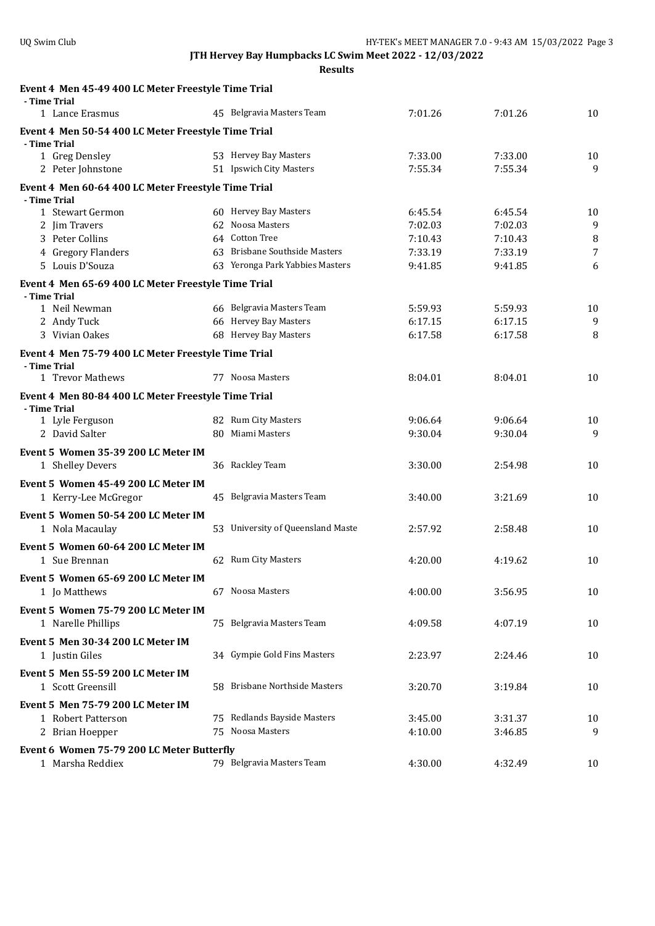| Event 4 Men 45-49 400 LC Meter Freestyle Time Trial                 |                                   |         |         |    |
|---------------------------------------------------------------------|-----------------------------------|---------|---------|----|
| - Time Trial                                                        | 45 Belgravia Masters Team         | 7:01.26 |         |    |
| 1 Lance Erasmus                                                     |                                   |         | 7:01.26 | 10 |
| Event 4 Men 50-54 400 LC Meter Freestyle Time Trial                 |                                   |         |         |    |
| - Time Trial<br>1 Greg Densley                                      | 53 Hervey Bay Masters             | 7:33.00 | 7:33.00 | 10 |
| 2 Peter Johnstone                                                   | 51 Ipswich City Masters           | 7:55.34 | 7:55.34 | 9  |
|                                                                     |                                   |         |         |    |
| Event 4 Men 60-64 400 LC Meter Freestyle Time Trial<br>- Time Trial |                                   |         |         |    |
| 1 Stewart Germon                                                    | 60 Hervey Bay Masters             | 6:45.54 | 6:45.54 | 10 |
| 2 Jim Travers                                                       | 62 Noosa Masters                  | 7:02.03 | 7:02.03 | 9  |
| 3 Peter Collins                                                     | 64 Cotton Tree                    | 7:10.43 | 7:10.43 | 8  |
| 4 Gregory Flanders                                                  | 63 Brisbane Southside Masters     | 7:33.19 | 7:33.19 | 7  |
| 5 Louis D'Souza                                                     | 63 Yeronga Park Yabbies Masters   | 9:41.85 | 9:41.85 | 6  |
| Event 4 Men 65-69 400 LC Meter Freestyle Time Trial                 |                                   |         |         |    |
| - Time Trial                                                        |                                   |         |         |    |
| 1 Neil Newman                                                       | 66 Belgravia Masters Team         | 5:59.93 | 5:59.93 | 10 |
| 2 Andy Tuck                                                         | 66 Hervey Bay Masters             | 6:17.15 | 6:17.15 | 9  |
| 3 Vivian Oakes                                                      | 68 Hervey Bay Masters             | 6:17.58 | 6:17.58 | 8  |
| Event 4 Men 75-79 400 LC Meter Freestyle Time Trial                 |                                   |         |         |    |
| - Time Trial                                                        |                                   |         |         |    |
| 1 Trevor Mathews                                                    | 77 Noosa Masters                  | 8:04.01 | 8:04.01 | 10 |
| Event 4 Men 80-84 400 LC Meter Freestyle Time Trial<br>- Time Trial |                                   |         |         |    |
| 1 Lyle Ferguson                                                     | 82 Rum City Masters               | 9:06.64 | 9:06.64 | 10 |
| 2 David Salter                                                      | 80 Miami Masters                  | 9:30.04 | 9:30.04 | 9  |
| Event 5 Women 35-39 200 LC Meter IM                                 |                                   |         |         |    |
| 1 Shelley Devers                                                    | 36 Rackley Team                   | 3:30.00 | 2:54.98 | 10 |
|                                                                     |                                   |         |         |    |
| Event 5 Women 45-49 200 LC Meter IM<br>1 Kerry-Lee McGregor         | 45 Belgravia Masters Team         | 3:40.00 | 3:21.69 | 10 |
|                                                                     |                                   |         |         |    |
| Event 5 Women 50-54 200 LC Meter IM                                 |                                   |         |         |    |
| 1 Nola Macaulay                                                     | 53 University of Queensland Maste | 2:57.92 | 2:58.48 | 10 |
| Event 5 Women 60-64 200 LC Meter IM                                 |                                   |         |         |    |
| 1 Sue Brennan                                                       | 62 Rum City Masters               | 4:20.00 | 4:19.62 | 10 |
| Event 5 Women 65-69 200 LC Meter IM                                 |                                   |         |         |    |
| 1 Jo Matthews                                                       | 67 Noosa Masters                  | 4:00.00 | 3:56.95 | 10 |
| Event 5 Women 75-79 200 LC Meter IM                                 |                                   |         |         |    |
| 1 Narelle Phillips                                                  | 75 Belgravia Masters Team         | 4:09.58 | 4:07.19 | 10 |
| Event 5 Men 30-34 200 LC Meter IM                                   |                                   |         |         |    |
| 1 Justin Giles                                                      | 34 Gympie Gold Fins Masters       | 2:23.97 | 2:24.46 | 10 |
|                                                                     |                                   |         |         |    |
| Event 5 Men 55-59 200 LC Meter IM                                   |                                   |         |         |    |
| 1 Scott Greensill                                                   | 58 Brisbane Northside Masters     | 3:20.70 | 3:19.84 | 10 |
| Event 5 Men 75-79 200 LC Meter IM                                   |                                   |         |         |    |
| 1 Robert Patterson                                                  | 75 Redlands Bayside Masters       | 3:45.00 | 3:31.37 | 10 |
| 2 Brian Hoepper                                                     | 75 Noosa Masters                  | 4:10.00 | 3:46.85 | 9  |
| Event 6 Women 75-79 200 LC Meter Butterfly                          |                                   |         |         |    |
| 1 Marsha Reddiex                                                    | 79 Belgravia Masters Team         | 4:30.00 | 4:32.49 | 10 |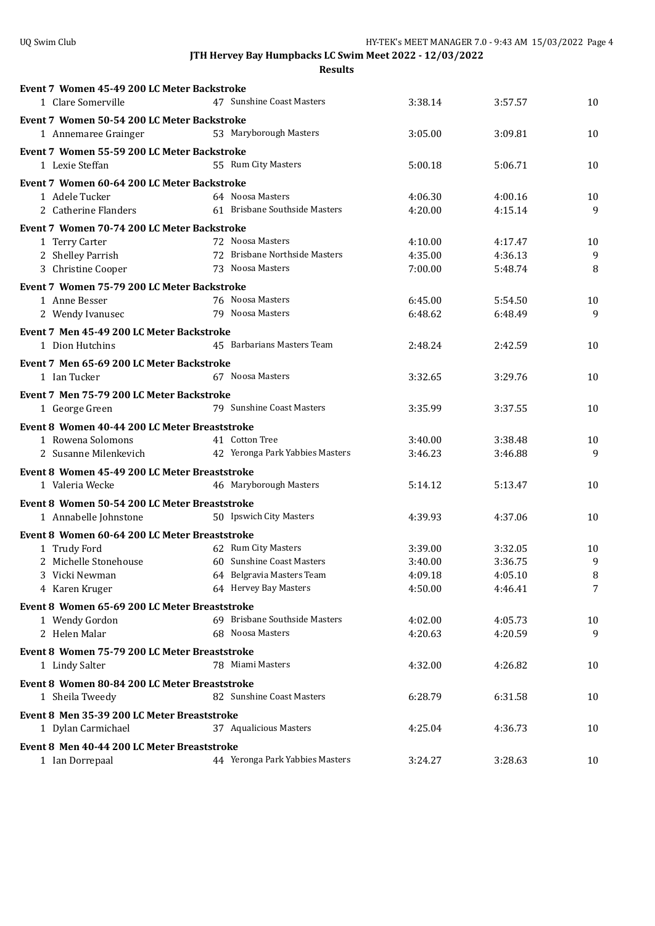| Event 7 Women 45-49 200 LC Meter Backstroke   |                                 |         |         |        |
|-----------------------------------------------|---------------------------------|---------|---------|--------|
| 1 Clare Somerville                            | 47 Sunshine Coast Masters       | 3:38.14 | 3:57.57 | 10     |
| Event 7 Women 50-54 200 LC Meter Backstroke   |                                 |         |         |        |
| 1 Annemaree Grainger                          | 53 Maryborough Masters          | 3:05.00 | 3:09.81 | 10     |
| Event 7 Women 55-59 200 LC Meter Backstroke   |                                 |         |         |        |
| 1 Lexie Steffan                               | 55 Rum City Masters             | 5:00.18 | 5:06.71 | 10     |
| Event 7 Women 60-64 200 LC Meter Backstroke   |                                 |         |         |        |
| 1 Adele Tucker                                | 64 Noosa Masters                | 4:06.30 | 4:00.16 | 10     |
| 2 Catherine Flanders                          | 61 Brisbane Southside Masters   | 4:20.00 | 4:15.14 | 9      |
| Event 7 Women 70-74 200 LC Meter Backstroke   |                                 |         |         |        |
| 1 Terry Carter                                | 72 Noosa Masters                | 4:10.00 | 4:17.47 | 10     |
| 2 Shelley Parrish                             | 72 Brisbane Northside Masters   | 4:35.00 | 4:36.13 | 9      |
| 3 Christine Cooper                            | 73 Noosa Masters                | 7:00.00 | 5:48.74 | 8      |
| Event 7 Women 75-79 200 LC Meter Backstroke   |                                 |         |         |        |
| 1 Anne Besser                                 | 76 Noosa Masters                | 6:45.00 | 5:54.50 | 10     |
| 2 Wendy Ivanusec                              | 79 Noosa Masters                | 6:48.62 | 6:48.49 | 9      |
| Event 7 Men 45-49 200 LC Meter Backstroke     |                                 |         |         |        |
| 1 Dion Hutchins                               | 45 Barbarians Masters Team      | 2:48.24 | 2:42.59 | 10     |
| Event 7 Men 65-69 200 LC Meter Backstroke     |                                 |         |         |        |
| 1 Ian Tucker                                  | 67 Noosa Masters                | 3:32.65 | 3:29.76 | 10     |
| Event 7 Men 75-79 200 LC Meter Backstroke     |                                 |         |         |        |
| 1 George Green                                | 79 Sunshine Coast Masters       | 3:35.99 | 3:37.55 | 10     |
| Event 8 Women 40-44 200 LC Meter Breaststroke |                                 |         |         |        |
| 1 Rowena Solomons                             | 41 Cotton Tree                  | 3:40.00 | 3:38.48 | 10     |
| 2 Susanne Milenkevich                         | 42 Yeronga Park Yabbies Masters | 3:46.23 | 3:46.88 | 9      |
| Event 8 Women 45-49 200 LC Meter Breaststroke |                                 |         |         |        |
| 1 Valeria Wecke                               | 46 Maryborough Masters          | 5:14.12 | 5:13.47 | 10     |
| Event 8 Women 50-54 200 LC Meter Breaststroke |                                 |         |         |        |
| 1 Annabelle Johnstone                         | 50 Ipswich City Masters         | 4:39.93 | 4:37.06 | 10     |
| Event 8 Women 60-64 200 LC Meter Breaststroke |                                 |         |         |        |
| 1 Trudy Ford                                  | 62 Rum City Masters             | 3:39.00 | 3:32.05 | 10     |
| 2 Michelle Stonehouse                         | 60 Sunshine Coast Masters       | 3:40.00 | 3:36.75 | 9      |
| 3 Vicki Newman                                | 64 Belgravia Masters Team       | 4:09.18 | 4:05.10 | $\, 8$ |
| 4 Karen Kruger                                | 64 Hervey Bay Masters           | 4:50.00 | 4:46.41 | 7      |
| Event 8 Women 65-69 200 LC Meter Breaststroke |                                 |         |         |        |
| 1 Wendy Gordon                                | 69 Brisbane Southside Masters   | 4:02.00 | 4:05.73 | 10     |
| 2 Helen Malar                                 | 68 Noosa Masters                | 4:20.63 | 4:20.59 | 9      |
| Event 8 Women 75-79 200 LC Meter Breaststroke |                                 |         |         |        |
| 1 Lindy Salter                                | 78 Miami Masters                | 4:32.00 | 4:26.82 | 10     |
| Event 8 Women 80-84 200 LC Meter Breaststroke |                                 |         |         |        |
| 1 Sheila Tweedy                               | 82 Sunshine Coast Masters       | 6:28.79 | 6:31.58 | 10     |
| Event 8 Men 35-39 200 LC Meter Breaststroke   |                                 |         |         |        |
| 1 Dylan Carmichael                            | 37 Aqualicious Masters          | 4:25.04 | 4:36.73 | 10     |
| Event 8 Men 40-44 200 LC Meter Breaststroke   |                                 |         |         |        |
| 1 Ian Dorrepaal                               | 44 Yeronga Park Yabbies Masters | 3:24.27 | 3:28.63 | 10     |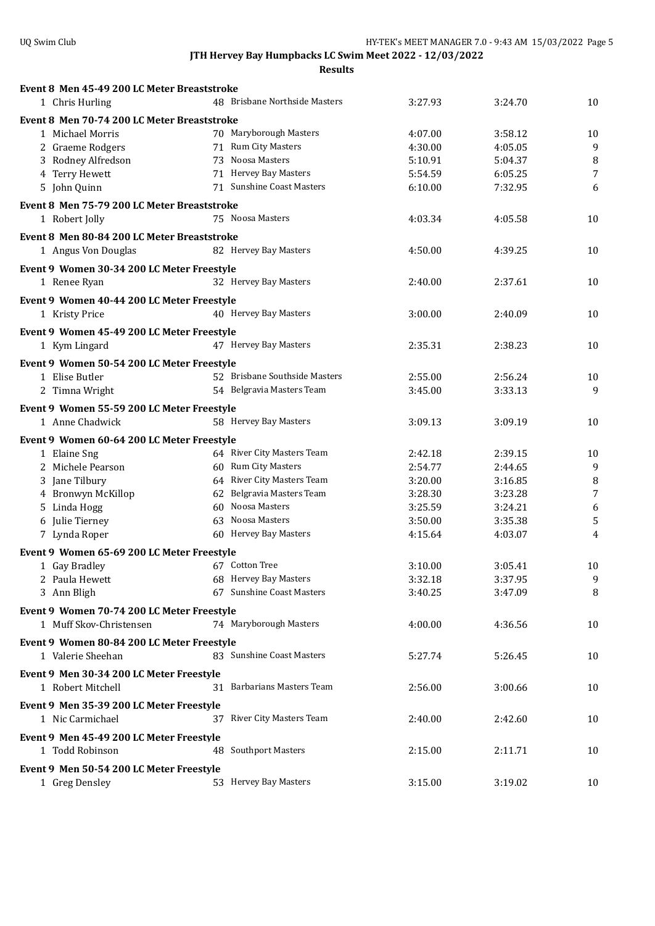| Event 8 Men 45-49 200 LC Meter Breaststroke |                               |         |         |    |
|---------------------------------------------|-------------------------------|---------|---------|----|
| 1 Chris Hurling                             | 48 Brisbane Northside Masters | 3:27.93 | 3:24.70 | 10 |
| Event 8 Men 70-74 200 LC Meter Breaststroke |                               |         |         |    |
| 1 Michael Morris                            | 70 Maryborough Masters        | 4:07.00 | 3:58.12 | 10 |
| 2 Graeme Rodgers                            | 71 Rum City Masters           | 4:30.00 | 4:05.05 | 9  |
| 3 Rodney Alfredson                          | 73 Noosa Masters              | 5:10.91 | 5:04.37 | 8  |
| 4 Terry Hewett                              | 71 Hervey Bay Masters         | 5:54.59 | 6:05.25 | 7  |
| 5 John Quinn                                | 71 Sunshine Coast Masters     | 6:10.00 | 7:32.95 | 6  |
| Event 8 Men 75-79 200 LC Meter Breaststroke |                               |         |         |    |
| 1 Robert Jolly                              | 75 Noosa Masters              | 4:03.34 | 4:05.58 | 10 |
|                                             |                               |         |         |    |
| Event 8 Men 80-84 200 LC Meter Breaststroke |                               |         |         |    |
| 1 Angus Von Douglas                         | 82 Hervey Bay Masters         | 4:50.00 | 4:39.25 | 10 |
| Event 9 Women 30-34 200 LC Meter Freestyle  |                               |         |         |    |
| 1 Renee Ryan                                | 32 Hervey Bay Masters         | 2:40.00 | 2:37.61 | 10 |
| Event 9 Women 40-44 200 LC Meter Freestyle  |                               |         |         |    |
| 1 Kristy Price                              | 40 Hervey Bay Masters         | 3:00.00 | 2:40.09 | 10 |
| Event 9 Women 45-49 200 LC Meter Freestyle  |                               |         |         |    |
|                                             | 47 Hervey Bay Masters         | 2:35.31 | 2:38.23 | 10 |
| 1 Kym Lingard                               |                               |         |         |    |
| Event 9 Women 50-54 200 LC Meter Freestyle  |                               |         |         |    |
| 1 Elise Butler                              | 52 Brisbane Southside Masters | 2:55.00 | 2:56.24 | 10 |
| 2 Timna Wright                              | 54 Belgravia Masters Team     | 3:45.00 | 3:33.13 | 9  |
| Event 9 Women 55-59 200 LC Meter Freestyle  |                               |         |         |    |
| 1 Anne Chadwick                             | 58 Hervey Bay Masters         | 3:09.13 | 3:09.19 | 10 |
| Event 9 Women 60-64 200 LC Meter Freestyle  |                               |         |         |    |
| 1 Elaine Sng                                | 64 River City Masters Team    | 2:42.18 | 2:39.15 | 10 |
| 2 Michele Pearson                           | 60 Rum City Masters           | 2:54.77 | 2:44.65 | 9  |
| 3 Jane Tilbury                              | 64 River City Masters Team    | 3:20.00 | 3:16.85 | 8  |
| 4 Bronwyn McKillop                          | 62 Belgravia Masters Team     | 3:28.30 | 3:23.28 | 7  |
| 5 Linda Hogg                                | 60 Noosa Masters              | 3:25.59 | 3:24.21 | 6  |
| 6 Julie Tierney                             | 63 Noosa Masters              | 3:50.00 | 3:35.38 | 5  |
| 7 Lynda Roper                               | 60 Hervey Bay Masters         | 4:15.64 | 4:03.07 | 4  |
| Event 9 Women 65-69 200 LC Meter Freestyle  |                               |         |         |    |
| 1 Gay Bradley                               | 67 Cotton Tree                | 3:10.00 | 3:05.41 | 10 |
| 2 Paula Hewett                              | 68 Hervey Bay Masters         | 3:32.18 | 3:37.95 | 9  |
| 3 Ann Bligh                                 | 67 Sunshine Coast Masters     | 3:40.25 | 3:47.09 | 8  |
|                                             |                               |         |         |    |
| Event 9 Women 70-74 200 LC Meter Freestyle  |                               |         |         |    |
| 1 Muff Skov-Christensen                     | 74 Maryborough Masters        | 4:00.00 | 4:36.56 | 10 |
| Event 9 Women 80-84 200 LC Meter Freestyle  |                               |         |         |    |
| 1 Valerie Sheehan                           | 83 Sunshine Coast Masters     | 5:27.74 | 5:26.45 | 10 |
| Event 9 Men 30-34 200 LC Meter Freestyle    |                               |         |         |    |
| 1 Robert Mitchell                           | 31 Barbarians Masters Team    | 2:56.00 | 3:00.66 | 10 |
|                                             |                               |         |         |    |
| Event 9 Men 35-39 200 LC Meter Freestyle    |                               |         |         |    |
| 1 Nic Carmichael                            | 37 River City Masters Team    | 2:40.00 | 2:42.60 | 10 |
| Event 9 Men 45-49 200 LC Meter Freestyle    |                               |         |         |    |
| 1 Todd Robinson                             | 48 Southport Masters          | 2:15.00 | 2:11.71 | 10 |
| Event 9 Men 50-54 200 LC Meter Freestyle    |                               |         |         |    |
| 1 Greg Densley                              | 53 Hervey Bay Masters         | 3:15.00 | 3:19.02 | 10 |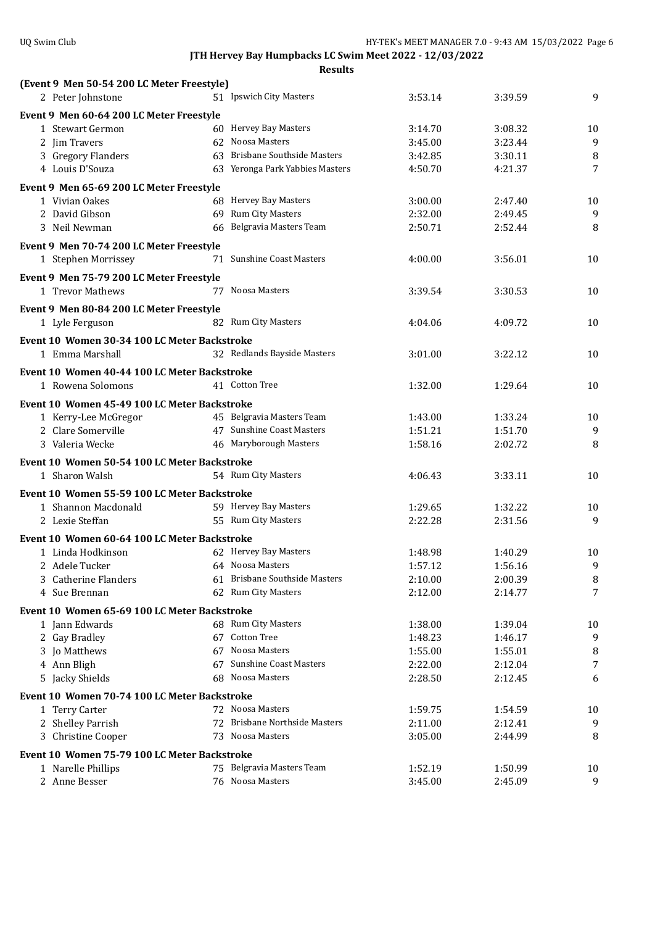| (Event 9 Men 50-54 200 LC Meter Freestyle)                         |                                 |                    |                    |         |
|--------------------------------------------------------------------|---------------------------------|--------------------|--------------------|---------|
| 2 Peter Johnstone                                                  | 51 Ipswich City Masters         | 3:53.14            | 3:39.59            | 9       |
| Event 9 Men 60-64 200 LC Meter Freestyle                           |                                 |                    |                    |         |
| 1 Stewart Germon                                                   | 60 Hervey Bay Masters           | 3:14.70            | 3:08.32            | 10      |
| 2 Jim Travers                                                      | 62 Noosa Masters                | 3:45.00            | 3:23.44            | 9       |
| 3 Gregory Flanders                                                 | 63 Brisbane Southside Masters   | 3:42.85            | 3:30.11            | 8       |
| 4 Louis D'Souza                                                    | 63 Yeronga Park Yabbies Masters | 4:50.70            | 4:21.37            | 7       |
| Event 9 Men 65-69 200 LC Meter Freestyle                           |                                 |                    |                    |         |
| 1 Vivian Oakes                                                     | 68 Hervey Bay Masters           | 3:00.00            | 2:47.40            | 10      |
| 2 David Gibson                                                     | 69 Rum City Masters             | 2:32.00            | 2:49.45            | 9       |
| 3 Neil Newman                                                      | 66 Belgravia Masters Team       | 2:50.71            | 2:52.44            | 8       |
|                                                                    |                                 |                    |                    |         |
| Event 9 Men 70-74 200 LC Meter Freestyle                           |                                 |                    |                    |         |
| 1 Stephen Morrissey                                                | 71 Sunshine Coast Masters       | 4:00.00            | 3:56.01            | 10      |
| Event 9 Men 75-79 200 LC Meter Freestyle                           |                                 |                    |                    |         |
| 1 Trevor Mathews                                                   | 77 Noosa Masters                | 3:39.54            | 3:30.53            | 10      |
| Event 9 Men 80-84 200 LC Meter Freestyle                           |                                 |                    |                    |         |
| 1 Lyle Ferguson                                                    | 82 Rum City Masters             | 4:04.06            | 4:09.72            | 10      |
| Event 10 Women 30-34 100 LC Meter Backstroke                       |                                 |                    |                    |         |
| 1 Emma Marshall                                                    | 32 Redlands Bayside Masters     | 3:01.00            | 3:22.12            | 10      |
|                                                                    |                                 |                    |                    |         |
| Event 10 Women 40-44 100 LC Meter Backstroke                       |                                 |                    |                    |         |
| 1 Rowena Solomons                                                  | 41 Cotton Tree                  | 1:32.00            | 1:29.64            | 10      |
| Event 10 Women 45-49 100 LC Meter Backstroke                       |                                 |                    |                    |         |
| 1 Kerry-Lee McGregor                                               | 45 Belgravia Masters Team       | 1:43.00            | 1:33.24            | 10      |
| 2 Clare Somerville                                                 | 47 Sunshine Coast Masters       | 1:51.21            | 1:51.70            | 9       |
| 3 Valeria Wecke                                                    | 46 Maryborough Masters          | 1:58.16            | 2:02.72            | 8       |
| Event 10 Women 50-54 100 LC Meter Backstroke                       |                                 |                    |                    |         |
| 1 Sharon Walsh                                                     | 54 Rum City Masters             | 4:06.43            | 3:33.11            | 10      |
|                                                                    |                                 |                    |                    |         |
| Event 10 Women 55-59 100 LC Meter Backstroke                       | 59 Hervey Bay Masters           |                    |                    |         |
| 1 Shannon Macdonald<br>2 Lexie Steffan                             | 55 Rum City Masters             | 1:29.65<br>2:22.28 | 1:32.22<br>2:31.56 | 10<br>9 |
|                                                                    |                                 |                    |                    |         |
| Event 10 Women 60-64 100 LC Meter Backstroke                       |                                 |                    |                    |         |
| 1 Linda Hodkinson                                                  | 62 Hervey Bay Masters           | 1:48.98            | 1:40.29            | 10      |
| 2 Adele Tucker                                                     | 64 Noosa Masters                | 1:57.12            | 1:56.16            | 9       |
| 3 Catherine Flanders                                               | 61 Brisbane Southside Masters   | 2:10.00            | 2:00.39            | 8       |
| 4 Sue Brennan                                                      | 62 Rum City Masters             | 2:12.00            | 2:14.77            | 7       |
| Event 10 Women 65-69 100 LC Meter Backstroke                       |                                 |                    |                    |         |
| 1 Jann Edwards                                                     | 68 Rum City Masters             | 1:38.00            | 1:39.04            | 10      |
| 2 Gay Bradley                                                      | 67 Cotton Tree                  | 1:48.23            | 1:46.17            | 9       |
| 3 Jo Matthews                                                      | 67 Noosa Masters                | 1:55.00            | 1:55.01            | 8       |
| 4 Ann Bligh                                                        | 67 Sunshine Coast Masters       | 2:22.00            | 2:12.04            | 7       |
| 5 Jacky Shields                                                    | 68 Noosa Masters                | 2:28.50            | 2:12.45            | 6       |
| Event 10 Women 70-74 100 LC Meter Backstroke                       |                                 |                    |                    |         |
| 1 Terry Carter                                                     | 72 Noosa Masters                | 1:59.75            | 1:54.59            | 10      |
| 2 Shelley Parrish                                                  | 72 Brisbane Northside Masters   | 2:11.00            | 2:12.41            | 9       |
| 3 Christine Cooper                                                 | 73 Noosa Masters                | 3:05.00            | 2:44.99            | 8       |
|                                                                    |                                 |                    |                    |         |
| Event 10 Women 75-79 100 LC Meter Backstroke<br>1 Narelle Phillips | 75 Belgravia Masters Team       | 1:52.19            | 1:50.99            | 10      |
| 2 Anne Besser                                                      | 76 Noosa Masters                | 3:45.00            | 2:45.09            | 9       |
|                                                                    |                                 |                    |                    |         |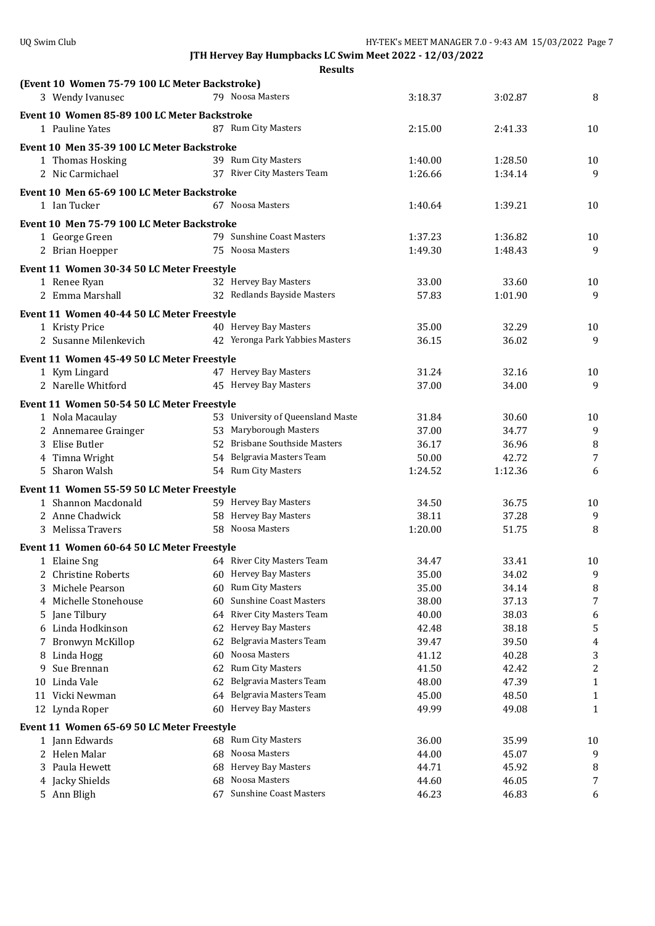|    | (Event 10 Women 75-79 100 LC Meter Backstroke)                    |    |                                   |         |         |                |
|----|-------------------------------------------------------------------|----|-----------------------------------|---------|---------|----------------|
|    | 3 Wendy Ivanusec                                                  |    | 79 Noosa Masters                  | 3:18.37 | 3:02.87 | 8              |
|    | Event 10 Women 85-89 100 LC Meter Backstroke                      |    |                                   |         |         |                |
|    | 1 Pauline Yates                                                   |    | 87 Rum City Masters               | 2:15.00 | 2:41.33 | 10             |
|    |                                                                   |    |                                   |         |         |                |
|    | Event 10 Men 35-39 100 LC Meter Backstroke                        |    |                                   |         |         |                |
|    | 1 Thomas Hosking                                                  |    | 39 Rum City Masters               | 1:40.00 | 1:28.50 | 10             |
|    | 2 Nic Carmichael                                                  |    | 37 River City Masters Team        | 1:26.66 | 1:34.14 | 9              |
|    | Event 10 Men 65-69 100 LC Meter Backstroke                        |    |                                   |         |         |                |
|    | 1 Ian Tucker                                                      |    | 67 Noosa Masters                  | 1:40.64 | 1:39.21 | 10             |
|    | Event 10 Men 75-79 100 LC Meter Backstroke                        |    |                                   |         |         |                |
|    | 1 George Green                                                    |    | 79 Sunshine Coast Masters         | 1:37.23 | 1:36.82 | 10             |
|    |                                                                   |    | 75 Noosa Masters                  |         | 1:48.43 | 9              |
|    | 2 Brian Hoepper                                                   |    |                                   | 1:49.30 |         |                |
|    | Event 11 Women 30-34 50 LC Meter Freestyle                        |    |                                   |         |         |                |
|    | 1 Renee Ryan                                                      |    | 32 Hervey Bay Masters             | 33.00   | 33.60   | 10             |
|    | 2 Emma Marshall                                                   |    | 32 Redlands Bayside Masters       | 57.83   | 1:01.90 | 9              |
|    | Event 11 Women 40-44 50 LC Meter Freestyle                        |    |                                   |         |         |                |
|    | 1 Kristy Price                                                    |    | 40 Hervey Bay Masters             | 35.00   | 32.29   | 10             |
|    | 2 Susanne Milenkevich                                             |    | 42 Yeronga Park Yabbies Masters   | 36.15   | 36.02   | 9              |
|    |                                                                   |    |                                   |         |         |                |
|    | Event 11 Women 45-49 50 LC Meter Freestyle                        |    |                                   |         |         |                |
|    | 1 Kym Lingard                                                     |    | 47 Hervey Bay Masters             | 31.24   | 32.16   | 10             |
|    | 2 Narelle Whitford                                                |    | 45 Hervey Bay Masters             | 37.00   | 34.00   | 9              |
|    | Event 11 Women 50-54 50 LC Meter Freestyle                        |    |                                   |         |         |                |
|    | 1 Nola Macaulay                                                   |    | 53 University of Queensland Maste | 31.84   | 30.60   | 10             |
|    | 2 Annemaree Grainger                                              |    | 53 Maryborough Masters            | 37.00   | 34.77   | 9              |
|    | 3 Elise Butler                                                    |    | 52 Brisbane Southside Masters     | 36.17   | 36.96   | 8              |
|    | 4 Timna Wright                                                    |    | 54 Belgravia Masters Team         | 50.00   | 42.72   | 7              |
|    | 5 Sharon Walsh                                                    |    | 54 Rum City Masters               | 1:24.52 | 1:12.36 | 6              |
|    |                                                                   |    |                                   |         |         |                |
|    | Event 11 Women 55-59 50 LC Meter Freestyle<br>1 Shannon Macdonald |    | 59 Hervey Bay Masters             | 34.50   | 36.75   | 10             |
|    | 2 Anne Chadwick                                                   |    | 58 Hervey Bay Masters             | 38.11   | 37.28   | 9              |
|    | 3 Melissa Travers                                                 |    | 58 Noosa Masters                  | 1:20.00 | 51.75   | 8              |
|    |                                                                   |    |                                   |         |         |                |
|    | Event 11 Women 60-64 50 LC Meter Freestyle                        |    |                                   |         |         |                |
|    | 1 Elaine Sng                                                      |    | 64 River City Masters Team        | 34.47   | 33.41   | 10             |
|    | 2 Christine Roberts                                               |    | 60 Hervey Bay Masters             | 35.00   | 34.02   | 9              |
| 3. | Michele Pearson                                                   |    | 60 Rum City Masters               | 35.00   | 34.14   | 8              |
|    | 4 Michelle Stonehouse                                             |    | 60 Sunshine Coast Masters         | 38.00   | 37.13   | 7              |
| 5  | Jane Tilbury                                                      |    | 64 River City Masters Team        | 40.00   | 38.03   | 6              |
| 6  | Linda Hodkinson                                                   |    | 62 Hervey Bay Masters             | 42.48   | 38.18   | 5              |
| 7  | Bronwyn McKillop                                                  |    | 62 Belgravia Masters Team         | 39.47   | 39.50   | 4              |
| 8  | Linda Hogg                                                        | 60 | Noosa Masters                     | 41.12   | 40.28   | 3              |
| 9  | Sue Brennan                                                       | 62 | Rum City Masters                  | 41.50   | 42.42   | $\overline{c}$ |
| 10 | Linda Vale                                                        | 62 | Belgravia Masters Team            | 48.00   | 47.39   | 1              |
| 11 | Vicki Newman                                                      |    | 64 Belgravia Masters Team         | 45.00   | 48.50   | $\mathbf{1}$   |
|    | 12 Lynda Roper                                                    |    | 60 Hervey Bay Masters             | 49.99   | 49.08   | 1              |
|    | Event 11 Women 65-69 50 LC Meter Freestyle                        |    |                                   |         |         |                |
|    | 1 Jann Edwards                                                    |    | 68 Rum City Masters               | 36.00   | 35.99   | 10             |
|    | 2 Helen Malar                                                     |    | 68 Noosa Masters                  | 44.00   | 45.07   | 9              |
|    | 3 Paula Hewett                                                    |    | 68 Hervey Bay Masters             | 44.71   | 45.92   | 8              |
|    | 4 Jacky Shields                                                   |    | 68 Noosa Masters                  | 44.60   | 46.05   | 7              |
|    | 5 Ann Bligh                                                       |    | 67 Sunshine Coast Masters         | 46.23   | 46.83   | 6              |
|    |                                                                   |    |                                   |         |         |                |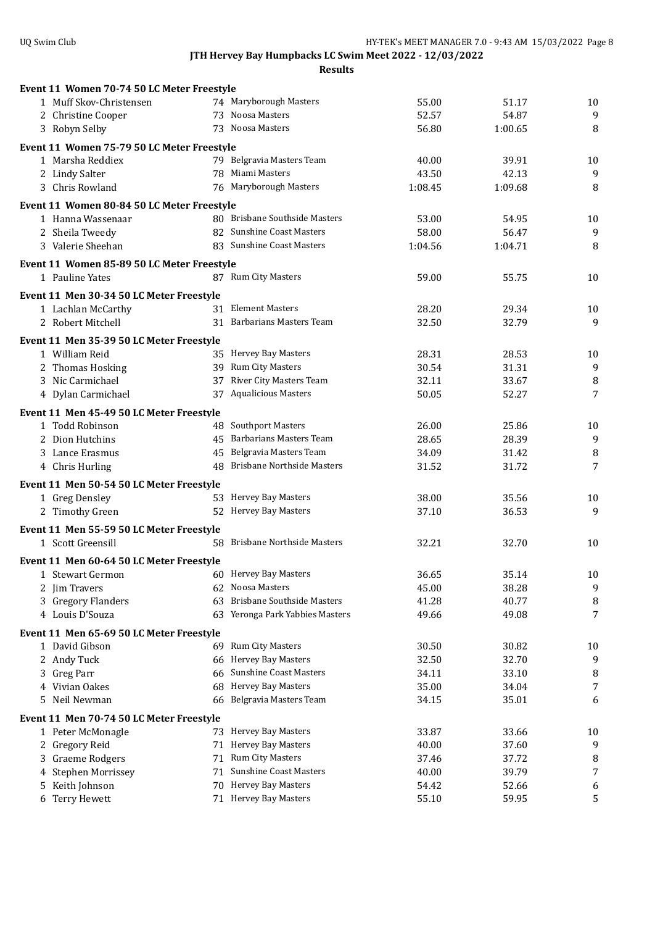| Event 11 Women 70-74 50 LC Meter Freestyle                      |     |                                   |                |                |         |
|-----------------------------------------------------------------|-----|-----------------------------------|----------------|----------------|---------|
| 1 Muff Skov-Christensen                                         |     | 74 Maryborough Masters            | 55.00          | 51.17          | 10      |
| 2 Christine Cooper                                              |     | 73 Noosa Masters                  | 52.57          | 54.87          | 9       |
| 3 Robyn Selby                                                   |     | 73 Noosa Masters                  | 56.80          | 1:00.65        | 8       |
| Event 11 Women 75-79 50 LC Meter Freestyle                      |     |                                   |                |                |         |
| 1 Marsha Reddiex                                                |     | 79 Belgravia Masters Team         | 40.00          | 39.91          | 10      |
| 2 Lindy Salter                                                  |     | 78 Miami Masters                  | 43.50          | 42.13          | 9       |
| 3 Chris Rowland                                                 |     | 76 Maryborough Masters            | 1:08.45        | 1:09.68        | 8       |
|                                                                 |     |                                   |                |                |         |
| Event 11 Women 80-84 50 LC Meter Freestyle<br>1 Hanna Wassenaar |     | 80 Brisbane Southside Masters     | 53.00          | 54.95          |         |
| 2 Sheila Tweedy                                                 |     | 82 Sunshine Coast Masters         | 58.00          | 56.47          | 10<br>9 |
| 3 Valerie Sheehan                                               |     | 83 Sunshine Coast Masters         | 1:04.56        | 1:04.71        | 8       |
|                                                                 |     |                                   |                |                |         |
| Event 11 Women 85-89 50 LC Meter Freestyle                      |     |                                   |                |                |         |
| 1 Pauline Yates                                                 |     | 87 Rum City Masters               | 59.00          | 55.75          | 10      |
| Event 11 Men 30-34 50 LC Meter Freestyle                        |     |                                   |                |                |         |
| 1 Lachlan McCarthy                                              |     | 31 Element Masters                | 28.20          | 29.34          | 10      |
| 2 Robert Mitchell                                               |     | 31 Barbarians Masters Team        | 32.50          | 32.79          | 9       |
| Event 11 Men 35-39 50 LC Meter Freestyle                        |     |                                   |                |                |         |
| 1 William Reid                                                  |     | 35 Hervey Bay Masters             | 28.31          | 28.53          | 10      |
| 2 Thomas Hosking                                                |     | 39 Rum City Masters               | 30.54          | 31.31          | 9       |
| 3 Nic Carmichael                                                |     | 37 River City Masters Team        | 32.11          | 33.67          | 8       |
| 4 Dylan Carmichael                                              |     | 37 Aqualicious Masters            | 50.05          | 52.27          | 7       |
|                                                                 |     |                                   |                |                |         |
| Event 11 Men 45-49 50 LC Meter Freestyle                        |     |                                   |                |                |         |
| 1 Todd Robinson                                                 |     | 48 Southport Masters              | 26.00          | 25.86          | 10      |
| 2 Dion Hutchins                                                 |     | 45 Barbarians Masters Team        | 28.65          | 28.39          | 9       |
| 3 Lance Erasmus                                                 |     | 45 Belgravia Masters Team         | 34.09          | 31.42          | 8       |
| 4 Chris Hurling                                                 |     | 48 Brisbane Northside Masters     | 31.52          | 31.72          | 7       |
| Event 11 Men 50-54 50 LC Meter Freestyle                        |     |                                   |                |                |         |
| 1 Greg Densley                                                  |     | 53 Hervey Bay Masters             | 38.00          | 35.56          | 10      |
| 2 Timothy Green                                                 |     | 52 Hervey Bay Masters             | 37.10          | 36.53          | 9       |
| Event 11 Men 55-59 50 LC Meter Freestyle                        |     |                                   |                |                |         |
| 1 Scott Greensill                                               |     | 58 Brisbane Northside Masters     | 32.21          | 32.70          | 10      |
|                                                                 |     |                                   |                |                |         |
| Event 11 Men 60-64 50 LC Meter Freestyle                        |     | 60 Hervey Bay Masters             |                |                |         |
| 1 Stewart Germon                                                |     | 62 Noosa Masters                  | 36.65<br>45.00 | 35.14<br>38.28 | 10      |
| 2 Jim Travers<br>3 Gregory Flanders                             | 63  | <b>Brisbane Southside Masters</b> | 41.28          | 40.77          | 9       |
| 4 Louis D'Souza                                                 |     | 63 Yeronga Park Yabbies Masters   | 49.66          | 49.08          | 8<br>7  |
|                                                                 |     |                                   |                |                |         |
| Event 11 Men 65-69 50 LC Meter Freestyle                        |     |                                   |                |                |         |
| 1 David Gibson                                                  |     | 69 Rum City Masters               | 30.50          | 30.82          | 10      |
| 2 Andy Tuck                                                     |     | 66 Hervey Bay Masters             | 32.50          | 32.70          | 9       |
| Greg Parr<br>3.                                                 | 66  | <b>Sunshine Coast Masters</b>     | 34.11          | 33.10          | 8       |
| Vivian Oakes<br>4                                               | 68  | Hervey Bay Masters                | 35.00          | 34.04          | 7       |
| Neil Newman<br>5                                                | 66  | Belgravia Masters Team            | 34.15          | 35.01          | 6       |
| Event 11 Men 70-74 50 LC Meter Freestyle                        |     |                                   |                |                |         |
| 1 Peter McMonagle                                               |     | 73 Hervey Bay Masters             | 33.87          | 33.66          | 10      |
| Gregory Reid<br>2                                               | 71  | Hervey Bay Masters                | 40.00          | 37.60          | 9       |
| <b>Graeme Rodgers</b><br>3                                      |     | 71 Rum City Masters               | 37.46          | 37.72          | 8       |
| Stephen Morrissey<br>4                                          | 71  | <b>Sunshine Coast Masters</b>     | 40.00          | 39.79          | 7       |
| Keith Johnson                                                   | 70. | Hervey Bay Masters                | 54.42          | 52.66          | 6       |
| 6 Terry Hewett                                                  |     | 71 Hervey Bay Masters             | 55.10          | 59.95          | 5       |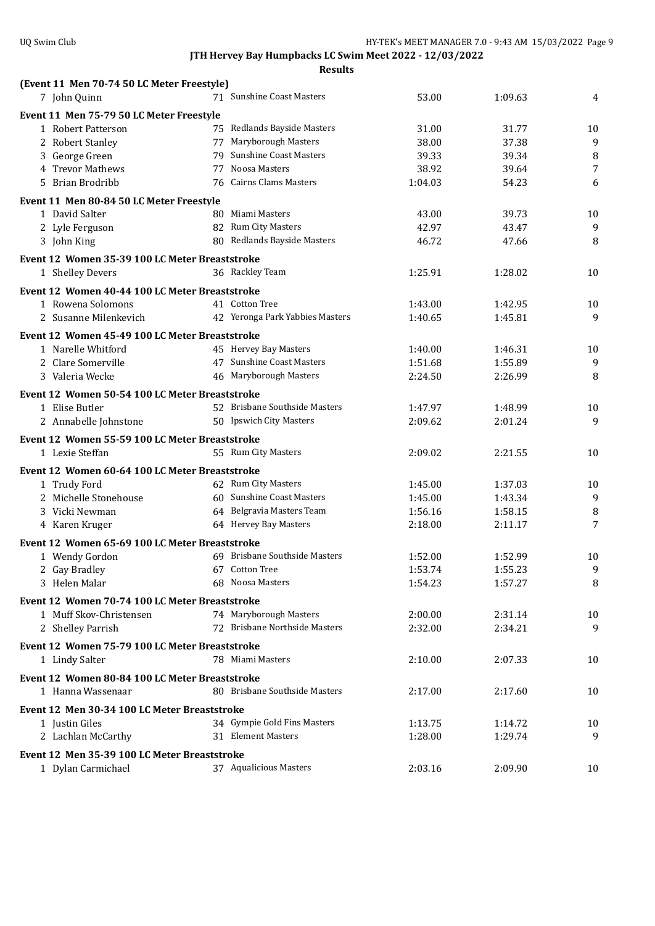| (Event 11 Men 70-74 50 LC Meter Freestyle)                           |    |                                 |         |                    |                |
|----------------------------------------------------------------------|----|---------------------------------|---------|--------------------|----------------|
| 7 John Quinn                                                         |    | 71 Sunshine Coast Masters       | 53.00   | 1:09.63            | 4              |
| Event 11 Men 75-79 50 LC Meter Freestyle                             |    |                                 |         |                    |                |
| 1 Robert Patterson                                                   |    | 75 Redlands Bayside Masters     | 31.00   | 31.77              | 10             |
| 2 Robert Stanley                                                     |    | 77 Maryborough Masters          | 38.00   | 37.38              | 9              |
| 3 George Green                                                       | 79 | <b>Sunshine Coast Masters</b>   | 39.33   | 39.34              | 8              |
| 4 Trevor Mathews                                                     | 77 | Noosa Masters                   | 38.92   | 39.64              | $\overline{7}$ |
| Brian Brodribb<br>5.                                                 |    | 76 Cairns Clams Masters         | 1:04.03 | 54.23              | 6              |
| Event 11 Men 80-84 50 LC Meter Freestyle                             |    |                                 |         |                    |                |
| 1 David Salter                                                       |    | 80 Miami Masters                | 43.00   | 39.73              | 10             |
| 2 Lyle Ferguson                                                      |    | 82 Rum City Masters             | 42.97   | 43.47              | 9              |
| 3 John King                                                          |    | 80 Redlands Bayside Masters     | 46.72   | 47.66              | 8              |
| Event 12 Women 35-39 100 LC Meter Breaststroke                       |    |                                 |         |                    |                |
| 1 Shelley Devers                                                     |    | 36 Rackley Team                 | 1:25.91 | 1:28.02            | 10             |
| Event 12 Women 40-44 100 LC Meter Breaststroke                       |    |                                 |         |                    |                |
| 1 Rowena Solomons                                                    |    | 41 Cotton Tree                  | 1:43.00 | 1:42.95            | 10             |
| 2 Susanne Milenkevich                                                |    | 42 Yeronga Park Yabbies Masters | 1:40.65 | 1:45.81            | 9              |
|                                                                      |    |                                 |         |                    |                |
| Event 12 Women 45-49 100 LC Meter Breaststroke<br>1 Narelle Whitford |    | 45 Hervey Bay Masters           | 1:40.00 |                    |                |
| 2 Clare Somerville                                                   |    | 47 Sunshine Coast Masters       | 1:51.68 | 1:46.31<br>1:55.89 | 10<br>9        |
| 3 Valeria Wecke                                                      |    | 46 Maryborough Masters          | 2:24.50 | 2:26.99            | 8              |
|                                                                      |    |                                 |         |                    |                |
| Event 12 Women 50-54 100 LC Meter Breaststroke                       |    |                                 |         |                    |                |
| 1 Elise Butler                                                       |    | 52 Brisbane Southside Masters   | 1:47.97 | 1:48.99            | 10             |
| 2 Annabelle Johnstone                                                |    | 50 Ipswich City Masters         | 2:09.62 | 2:01.24            | 9              |
| Event 12 Women 55-59 100 LC Meter Breaststroke                       |    |                                 |         |                    |                |
| 1 Lexie Steffan                                                      |    | 55 Rum City Masters             | 2:09.02 | 2:21.55            | 10             |
| Event 12 Women 60-64 100 LC Meter Breaststroke                       |    |                                 |         |                    |                |
| 1 Trudy Ford                                                         |    | 62 Rum City Masters             | 1:45.00 | 1:37.03            | 10             |
| 2 Michelle Stonehouse                                                |    | 60 Sunshine Coast Masters       | 1:45.00 | 1:43.34            | 9              |
| 3 Vicki Newman                                                       |    | 64 Belgravia Masters Team       | 1:56.16 | 1:58.15            | 8              |
| 4 Karen Kruger                                                       |    | 64 Hervey Bay Masters           | 2:18.00 | 2:11.17            | 7              |
| Event 12 Women 65-69 100 LC Meter Breaststroke                       |    |                                 |         |                    |                |
| 1 Wendy Gordon                                                       |    | 69 Brisbane Southside Masters   | 1:52.00 | 1:52.99            | 10             |
| 2 Gay Bradley                                                        |    | 67 Cotton Tree                  | 1:53.74 | 1:55.23            | 9              |
| 3 Helen Malar                                                        |    | 68 Noosa Masters                | 1:54.23 | 1:57.27            | 8              |
| Event 12 Women 70-74 100 LC Meter Breaststroke                       |    |                                 |         |                    |                |
| 1 Muff Skov-Christensen                                              |    | 74 Maryborough Masters          | 2:00.00 | 2:31.14            | 10             |
| 2 Shelley Parrish                                                    |    | 72 Brisbane Northside Masters   | 2:32.00 | 2:34.21            | 9              |
| Event 12 Women 75-79 100 LC Meter Breaststroke                       |    |                                 |         |                    |                |
| 1 Lindy Salter                                                       |    | 78 Miami Masters                | 2:10.00 | 2:07.33            | 10             |
|                                                                      |    |                                 |         |                    |                |
| Event 12 Women 80-84 100 LC Meter Breaststroke<br>1 Hanna Wassenaar  |    | 80 Brisbane Southside Masters   | 2:17.00 | 2:17.60            | 10             |
|                                                                      |    |                                 |         |                    |                |
| Event 12 Men 30-34 100 LC Meter Breaststroke                         |    |                                 |         |                    |                |
| 1 Justin Giles                                                       |    | 34 Gympie Gold Fins Masters     | 1:13.75 | 1:14.72            | 10             |
| 2 Lachlan McCarthy                                                   |    | 31 Element Masters              | 1:28.00 | 1:29.74            | 9              |
| Event 12 Men 35-39 100 LC Meter Breaststroke                         |    |                                 |         |                    |                |
| 1 Dylan Carmichael                                                   |    | 37 Aqualicious Masters          | 2:03.16 | 2:09.90            | 10             |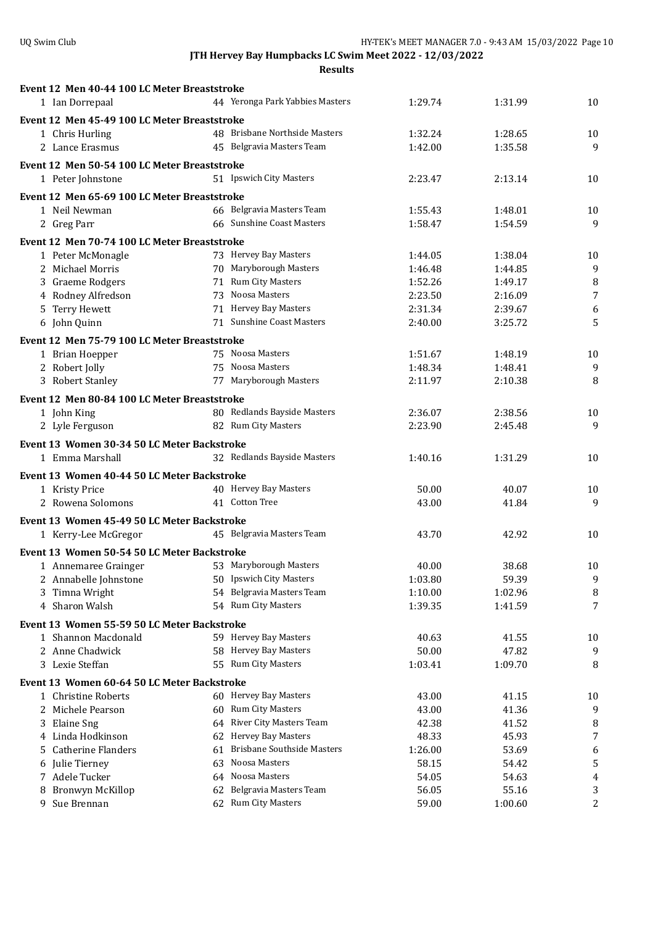|    | Event 12 Men 40-44 100 LC Meter Breaststroke |    |                                   |                |                |                |
|----|----------------------------------------------|----|-----------------------------------|----------------|----------------|----------------|
|    | 1 Ian Dorrepaal                              |    | 44 Yeronga Park Yabbies Masters   | 1:29.74        | 1:31.99        | 10             |
|    |                                              |    |                                   |                |                |                |
|    | Event 12 Men 45-49 100 LC Meter Breaststroke |    | 48 Brisbane Northside Masters     | 1:32.24        | 1:28.65        | 10             |
|    | 1 Chris Hurling<br>2 Lance Erasmus           |    | 45 Belgravia Masters Team         | 1:42.00        | 1:35.58        | 9              |
|    |                                              |    |                                   |                |                |                |
|    | Event 12 Men 50-54 100 LC Meter Breaststroke |    |                                   |                |                |                |
|    | 1 Peter Johnstone                            |    | 51 Ipswich City Masters           | 2:23.47        | 2:13.14        | 10             |
|    | Event 12 Men 65-69 100 LC Meter Breaststroke |    |                                   |                |                |                |
|    | 1 Neil Newman                                |    | 66 Belgravia Masters Team         | 1:55.43        | 1:48.01        | 10             |
|    | 2 Greg Parr                                  |    | 66 Sunshine Coast Masters         | 1:58.47        | 1:54.59        | 9              |
|    | Event 12 Men 70-74 100 LC Meter Breaststroke |    |                                   |                |                |                |
|    | 1 Peter McMonagle                            |    | 73 Hervey Bay Masters             | 1:44.05        | 1:38.04        | 10             |
|    | 2 Michael Morris                             |    | 70 Maryborough Masters            | 1:46.48        | 1:44.85        | 9              |
|    | 3 Graeme Rodgers                             |    | 71 Rum City Masters               | 1:52.26        | 1:49.17        | 8              |
|    | 4 Rodney Alfredson                           |    | 73 Noosa Masters                  | 2:23.50        | 2:16.09        | $\overline{7}$ |
|    | 5 Terry Hewett                               |    | 71 Hervey Bay Masters             | 2:31.34        | 2:39.67        | 6              |
|    | 6 John Quinn                                 |    | 71 Sunshine Coast Masters         | 2:40.00        | 3:25.72        | 5              |
|    |                                              |    |                                   |                |                |                |
|    | Event 12 Men 75-79 100 LC Meter Breaststroke |    |                                   |                |                |                |
|    | 1 Brian Hoepper                              |    | 75 Noosa Masters                  | 1:51.67        | 1:48.19        | 10             |
|    | 2 Robert Jolly                               |    | 75 Noosa Masters                  | 1:48.34        | 1:48.41        | 9              |
|    | 3 Robert Stanley                             |    | 77 Maryborough Masters            | 2:11.97        | 2:10.38        | 8              |
|    | Event 12 Men 80-84 100 LC Meter Breaststroke |    |                                   |                |                |                |
|    | 1 John King                                  |    | 80 Redlands Bayside Masters       | 2:36.07        | 2:38.56        | 10             |
|    | 2 Lyle Ferguson                              |    | 82 Rum City Masters               | 2:23.90        | 2:45.48        | 9              |
|    | Event 13 Women 30-34 50 LC Meter Backstroke  |    |                                   |                |                |                |
|    | 1 Emma Marshall                              |    | 32 Redlands Bayside Masters       | 1:40.16        | 1:31.29        | 10             |
|    |                                              |    |                                   |                |                |                |
|    | Event 13 Women 40-44 50 LC Meter Backstroke  |    |                                   |                |                |                |
|    | 1 Kristy Price                               |    | 40 Hervey Bay Masters             | 50.00          | 40.07          | 10             |
|    | 2 Rowena Solomons                            |    | 41 Cotton Tree                    | 43.00          | 41.84          | 9              |
|    | Event 13 Women 45-49 50 LC Meter Backstroke  |    |                                   |                |                |                |
|    | 1 Kerry-Lee McGregor                         |    | 45 Belgravia Masters Team         | 43.70          | 42.92          | 10             |
|    | Event 13 Women 50-54 50 LC Meter Backstroke  |    |                                   |                |                |                |
|    | 1 Annemaree Grainger                         |    | 53 Maryborough Masters            | 40.00          | 38.68          | 10             |
|    | 2 Annabelle Johnstone                        |    | 50 Ipswich City Masters           | 1:03.80        | 59.39          | 9              |
| 3. | Timna Wright                                 |    | 54 Belgravia Masters Team         | 1:10.00        | 1:02.96        | 8              |
|    | 4 Sharon Walsh                               |    | 54 Rum City Masters               | 1:39.35        | 1:41.59        | 7              |
|    |                                              |    |                                   |                |                |                |
|    | Event 13 Women 55-59 50 LC Meter Backstroke  |    |                                   |                |                |                |
|    | 1 Shannon Macdonald                          |    | 59 Hervey Bay Masters             | 40.63          | 41.55          | 10             |
|    | 2 Anne Chadwick                              |    | 58 Hervey Bay Masters             | 50.00          | 47.82          | 9              |
|    | 3 Lexie Steffan                              |    | 55 Rum City Masters               | 1:03.41        | 1:09.70        | 8              |
|    | Event 13 Women 60-64 50 LC Meter Backstroke  |    |                                   |                |                |                |
|    |                                              |    |                                   |                | 41.15          | 10             |
|    | 1 Christine Roberts                          |    | 60 Hervey Bay Masters             | 43.00          |                |                |
|    | 2 Michele Pearson                            | 60 | <b>Rum City Masters</b>           | 43.00          | 41.36          | 9              |
|    |                                              |    | 64 River City Masters Team        | 42.38          | 41.52          |                |
|    | 3 Elaine Sng<br>4 Linda Hodkinson            |    | 62 Hervey Bay Masters             | 48.33          | 45.93          | 8<br>7         |
| 5. | <b>Catherine Flanders</b>                    | 61 | <b>Brisbane Southside Masters</b> | 1:26.00        |                |                |
| 6  |                                              | 63 | Noosa Masters                     |                | 53.69<br>54.42 | 6              |
|    | Julie Tierney<br>7 Adele Tucker              |    | 64 Noosa Masters                  | 58.15          |                | 5<br>4         |
| 8  | Bronwyn McKillop                             | 62 | Belgravia Masters Team            | 54.05<br>56.05 | 54.63<br>55.16 | 3              |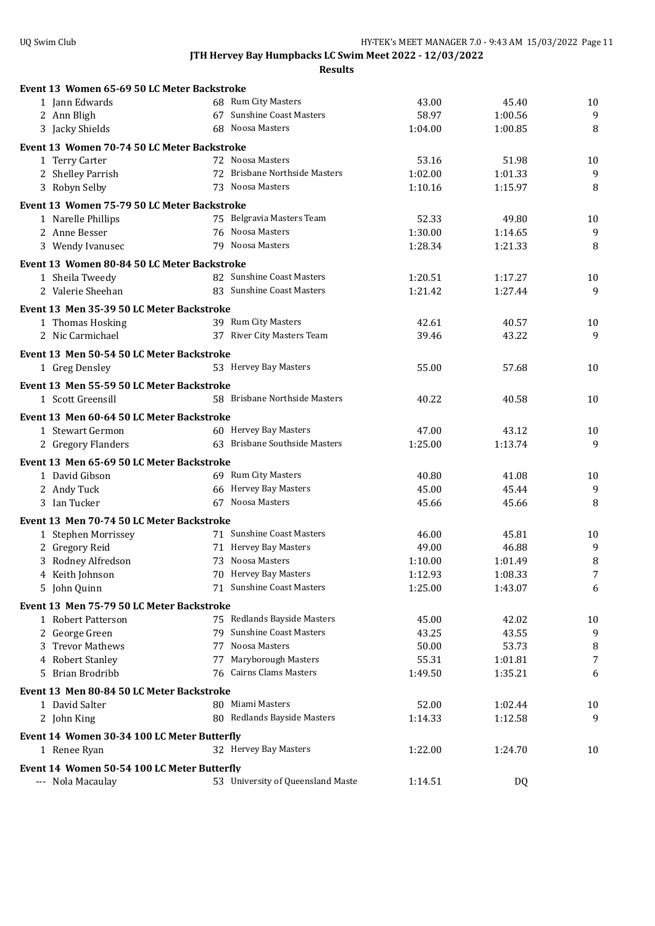| Event 13 Women 65-69 50 LC Meter Backstroke |                                            |                |                |         |
|---------------------------------------------|--------------------------------------------|----------------|----------------|---------|
| 1 Jann Edwards                              | 68 Rum City Masters                        | 43.00          | 45.40          | 10      |
| 2 Ann Bligh                                 | 67 Sunshine Coast Masters                  | 58.97          | 1:00.56        | 9       |
| 3 Jacky Shields                             | 68 Noosa Masters                           | 1:04.00        | 1:00.85        | 8       |
| Event 13 Women 70-74 50 LC Meter Backstroke |                                            |                |                |         |
| 1 Terry Carter                              | 72 Noosa Masters                           | 53.16          | 51.98          | 10      |
| 2 Shelley Parrish                           | 72 Brisbane Northside Masters              | 1:02.00        | 1:01.33        | 9       |
| 3 Robyn Selby                               | 73 Noosa Masters                           | 1:10.16        | 1:15.97        | 8       |
| Event 13 Women 75-79 50 LC Meter Backstroke |                                            |                |                |         |
| 1 Narelle Phillips                          | 75 Belgravia Masters Team                  | 52.33          | 49.80          | 10      |
| 2 Anne Besser                               | 76 Noosa Masters                           | 1:30.00        | 1:14.65        | 9       |
| 3 Wendy Ivanusec                            | 79 Noosa Masters                           | 1:28.34        | 1:21.33        | 8       |
| Event 13 Women 80-84 50 LC Meter Backstroke |                                            |                |                |         |
| 1 Sheila Tweedy                             | 82 Sunshine Coast Masters                  | 1:20.51        | 1:17.27        | 10      |
| 2 Valerie Sheehan                           | 83 Sunshine Coast Masters                  | 1:21.42        | 1:27.44        | 9       |
|                                             |                                            |                |                |         |
| Event 13 Men 35-39 50 LC Meter Backstroke   | 39 Rum City Masters                        | 42.61          |                |         |
| 1 Thomas Hosking<br>2 Nic Carmichael        | 37 River City Masters Team                 | 39.46          | 40.57<br>43.22 | 10<br>9 |
|                                             |                                            |                |                |         |
| Event 13 Men 50-54 50 LC Meter Backstroke   |                                            |                |                |         |
| 1 Greg Densley                              | 53 Hervey Bay Masters                      | 55.00          | 57.68          | 10      |
| Event 13 Men 55-59 50 LC Meter Backstroke   |                                            |                |                |         |
| 1 Scott Greensill                           | 58 Brisbane Northside Masters              | 40.22          | 40.58          | 10      |
| Event 13 Men 60-64 50 LC Meter Backstroke   |                                            |                |                |         |
| 1 Stewart Germon                            | 60 Hervey Bay Masters                      | 47.00          | 43.12          | 10      |
| 2 Gregory Flanders                          | 63 Brisbane Southside Masters              | 1:25.00        | 1:13.74        | 9       |
| Event 13 Men 65-69 50 LC Meter Backstroke   |                                            |                |                |         |
| 1 David Gibson                              | 69 Rum City Masters                        | 40.80          | 41.08          | 10      |
| 2 Andy Tuck                                 | 66 Hervey Bay Masters                      | 45.00          | 45.44          | 9       |
| 3 Ian Tucker                                | 67 Noosa Masters                           | 45.66          | 45.66          | 8       |
|                                             |                                            |                |                |         |
| Event 13 Men 70-74 50 LC Meter Backstroke   | 71 Sunshine Coast Masters                  |                |                |         |
| 1 Stephen Morrissey                         | 71 Hervey Bay Masters                      | 46.00<br>49.00 | 45.81<br>46.88 | 10<br>9 |
| 2 Gregory Reid<br>3 Rodney Alfredson        | 73 Noosa Masters                           | 1:10.00        | 1:01.49        | 8       |
| 4 Keith Johnson                             | 70 Hervey Bay Masters                      | 1:12.93        | 1:08.33        | 7       |
| 5 John Quinn                                | 71 Sunshine Coast Masters                  | 1:25.00        | 1:43.07        | 6       |
|                                             |                                            |                |                |         |
| Event 13 Men 75-79 50 LC Meter Backstroke   |                                            |                |                |         |
| 1 Robert Patterson                          | 75 Redlands Bayside Masters                | 45.00          | 42.02          | 10      |
| 2 George Green                              | 79 Sunshine Coast Masters<br>Noosa Masters | 43.25          | 43.55          | 9       |
| 3 Trevor Mathews<br>77<br>4 Robert Stanley  | 77 Maryborough Masters                     | 50.00<br>55.31 | 53.73          | 8<br>7  |
| 5 Brian Brodribb                            | 76 Cairns Clams Masters                    | 1:49.50        | 1:01.81        | 6       |
|                                             |                                            |                | 1:35.21        |         |
| Event 13 Men 80-84 50 LC Meter Backstroke   |                                            |                |                |         |
| 1 David Salter                              | 80 Miami Masters                           | 52.00          | 1:02.44        | 10      |
| 2 John King                                 | 80 Redlands Bayside Masters                | 1:14.33        | 1:12.58        | 9       |
| Event 14 Women 30-34 100 LC Meter Butterfly |                                            |                |                |         |
| 1 Renee Ryan                                | 32 Hervey Bay Masters                      | 1:22.00        | 1:24.70        | 10      |
| Event 14 Women 50-54 100 LC Meter Butterfly |                                            |                |                |         |
| --- Nola Macaulay                           | 53 University of Queensland Maste          | 1:14.51        | DQ             |         |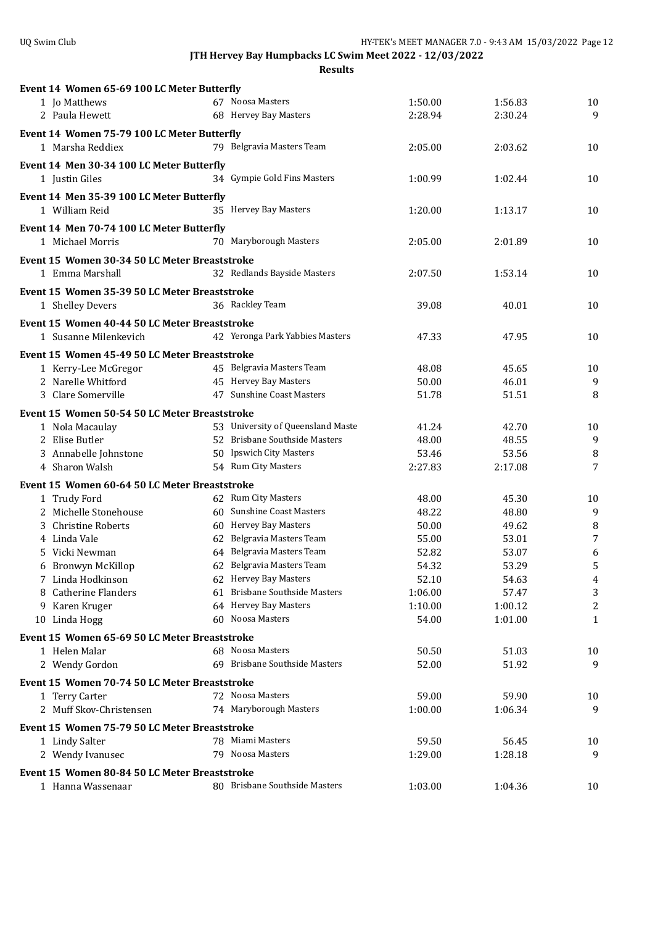| Event 14 Women 65-69 100 LC Meter Butterfly   |                                   |         |         |                  |
|-----------------------------------------------|-----------------------------------|---------|---------|------------------|
| 1 Jo Matthews                                 | 67 Noosa Masters                  | 1:50.00 | 1:56.83 | 10               |
| 2 Paula Hewett                                | 68 Hervey Bay Masters             | 2:28.94 | 2:30.24 | 9                |
|                                               |                                   |         |         |                  |
| Event 14 Women 75-79 100 LC Meter Butterfly   | 79 Belgravia Masters Team         |         |         |                  |
| 1 Marsha Reddiex                              |                                   | 2:05.00 | 2:03.62 | 10               |
| Event 14 Men 30-34 100 LC Meter Butterfly     |                                   |         |         |                  |
| 1 Justin Giles                                | 34 Gympie Gold Fins Masters       | 1:00.99 | 1:02.44 | 10               |
| Event 14 Men 35-39 100 LC Meter Butterfly     |                                   |         |         |                  |
| 1 William Reid                                | 35 Hervey Bay Masters             | 1:20.00 | 1:13.17 | 10               |
| Event 14 Men 70-74 100 LC Meter Butterfly     |                                   |         |         |                  |
| 1 Michael Morris                              | 70 Maryborough Masters            | 2:05.00 | 2:01.89 | 10               |
| Event 15 Women 30-34 50 LC Meter Breaststroke |                                   |         |         |                  |
| 1 Emma Marshall                               | 32 Redlands Bayside Masters       | 2:07.50 | 1:53.14 | 10               |
|                                               |                                   |         |         |                  |
| Event 15 Women 35-39 50 LC Meter Breaststroke |                                   |         |         |                  |
| 1 Shelley Devers                              | 36 Rackley Team                   | 39.08   | 40.01   | 10               |
| Event 15 Women 40-44 50 LC Meter Breaststroke |                                   |         |         |                  |
| 1 Susanne Milenkevich                         | 42 Yeronga Park Yabbies Masters   | 47.33   | 47.95   | 10               |
| Event 15 Women 45-49 50 LC Meter Breaststroke |                                   |         |         |                  |
| 1 Kerry-Lee McGregor                          | 45 Belgravia Masters Team         | 48.08   | 45.65   | 10               |
| 2 Narelle Whitford                            | 45 Hervey Bay Masters             | 50.00   | 46.01   | 9                |
| 3 Clare Somerville                            | 47 Sunshine Coast Masters         | 51.78   | 51.51   | 8                |
| Event 15 Women 50-54 50 LC Meter Breaststroke |                                   |         |         |                  |
| 1 Nola Macaulay                               | 53 University of Queensland Maste | 41.24   | 42.70   | 10               |
| 2 Elise Butler                                | 52 Brisbane Southside Masters     | 48.00   | 48.55   | 9                |
| 3 Annabelle Johnstone                         | 50 Ipswich City Masters           | 53.46   | 53.56   | 8                |
| 4 Sharon Walsh                                | 54 Rum City Masters               | 2:27.83 | 2:17.08 | 7                |
| Event 15 Women 60-64 50 LC Meter Breaststroke |                                   |         |         |                  |
| 1 Trudy Ford                                  | 62 Rum City Masters               | 48.00   | 45.30   | 10               |
| 2 Michelle Stonehouse                         | 60 Sunshine Coast Masters         | 48.22   | 48.80   | 9                |
| 3 Christine Roberts                           | 60 Hervey Bay Masters             | 50.00   | 49.62   | 8                |
| 4 Linda Vale                                  | 62 Belgravia Masters Team         | 55.00   | 53.01   | 7                |
| Vicki Newman<br>5.                            | 64 Belgravia Masters Team         | 52.82   | 53.07   | 6                |
| 6 Bronwyn McKillop                            | 62 Belgravia Masters Team         | 54.32   | 53.29   | 5                |
| 7 Linda Hodkinson                             | 62 Hervey Bay Masters             | 52.10   | 54.63   | 4                |
| <b>Catherine Flanders</b>                     | 61 Brisbane Southside Masters     | 1:06.00 | 57.47   | 3                |
| 9 Karen Kruger                                | 64 Hervey Bay Masters             | 1:10.00 | 1:00.12 | $\boldsymbol{2}$ |
| 10 Linda Hogg                                 | 60 Noosa Masters                  | 54.00   | 1:01.00 | $\mathbf{1}$     |
| Event 15 Women 65-69 50 LC Meter Breaststroke |                                   |         |         |                  |
| 1 Helen Malar                                 | 68 Noosa Masters                  | 50.50   | 51.03   | 10               |
| 2 Wendy Gordon                                | 69 Brisbane Southside Masters     | 52.00   | 51.92   | 9                |
|                                               |                                   |         |         |                  |
| Event 15 Women 70-74 50 LC Meter Breaststroke | 72 Noosa Masters                  | 59.00   | 59.90   |                  |
| 1 Terry Carter<br>2 Muff Skov-Christensen     | 74 Maryborough Masters            | 1:00.00 | 1:06.34 | 10<br>9          |
|                                               |                                   |         |         |                  |
| Event 15 Women 75-79 50 LC Meter Breaststroke |                                   |         |         |                  |
| 1 Lindy Salter                                | 78 Miami Masters                  | 59.50   | 56.45   | 10               |
| 2 Wendy Ivanusec                              | 79 Noosa Masters                  | 1:29.00 | 1:28.18 | 9                |
| Event 15 Women 80-84 50 LC Meter Breaststroke |                                   |         |         |                  |
| 1 Hanna Wassenaar                             | 80 Brisbane Southside Masters     | 1:03.00 | 1:04.36 | 10               |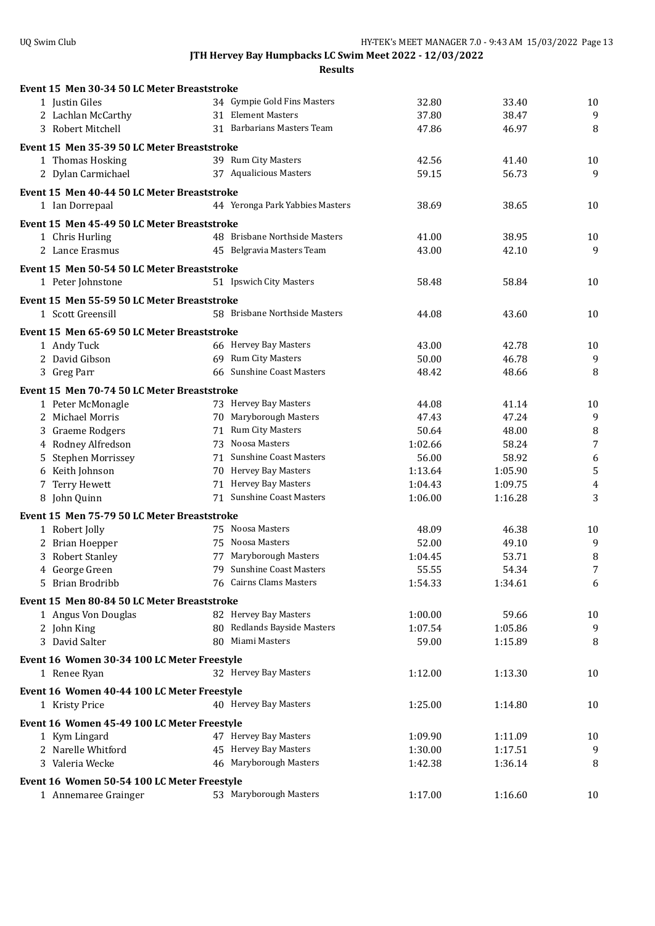|                            | Event 15 Men 30-34 50 LC Meter Breaststroke |                                 |         |         |                  |
|----------------------------|---------------------------------------------|---------------------------------|---------|---------|------------------|
| 1 Justin Giles             |                                             | 34 Gympie Gold Fins Masters     | 32.80   | 33.40   | 10               |
| 2 Lachlan McCarthy         |                                             | 31 Element Masters              | 37.80   | 38.47   | 9                |
| 3 Robert Mitchell          |                                             | 31 Barbarians Masters Team      | 47.86   | 46.97   | 8                |
|                            | Event 15 Men 35-39 50 LC Meter Breaststroke |                                 |         |         |                  |
| 1 Thomas Hosking           |                                             | 39 Rum City Masters             | 42.56   | 41.40   | 10               |
| 2 Dylan Carmichael         |                                             | 37 Aqualicious Masters          | 59.15   | 56.73   | 9                |
|                            |                                             |                                 |         |         |                  |
|                            | Event 15 Men 40-44 50 LC Meter Breaststroke |                                 |         |         |                  |
| 1 Ian Dorrepaal            |                                             | 44 Yeronga Park Yabbies Masters | 38.69   | 38.65   | 10               |
|                            | Event 15 Men 45-49 50 LC Meter Breaststroke |                                 |         |         |                  |
| 1 Chris Hurling            |                                             | 48 Brisbane Northside Masters   | 41.00   | 38.95   | 10               |
| 2 Lance Erasmus            |                                             | 45 Belgravia Masters Team       | 43.00   | 42.10   | 9                |
|                            | Event 15 Men 50-54 50 LC Meter Breaststroke |                                 |         |         |                  |
| 1 Peter Johnstone          |                                             | 51 Ipswich City Masters         | 58.48   | 58.84   | 10               |
|                            | Event 15 Men 55-59 50 LC Meter Breaststroke |                                 |         |         |                  |
| 1 Scott Greensill          |                                             | 58 Brisbane Northside Masters   | 44.08   | 43.60   | 10               |
|                            |                                             |                                 |         |         |                  |
|                            | Event 15 Men 65-69 50 LC Meter Breaststroke |                                 |         |         |                  |
| 1 Andy Tuck                |                                             | 66 Hervey Bay Masters           | 43.00   | 42.78   | 10               |
| 2 David Gibson             |                                             | 69 Rum City Masters             | 50.00   | 46.78   | $\boldsymbol{9}$ |
| 3 Greg Parr                |                                             | 66 Sunshine Coast Masters       | 48.42   | 48.66   | 8                |
|                            | Event 15 Men 70-74 50 LC Meter Breaststroke |                                 |         |         |                  |
| 1 Peter McMonagle          |                                             | 73 Hervey Bay Masters           | 44.08   | 41.14   | 10               |
| 2 Michael Morris           |                                             | 70 Maryborough Masters          | 47.43   | 47.24   | 9                |
| Graeme Rodgers<br>3        |                                             | 71 Rum City Masters             | 50.64   | 48.00   | 8                |
| 4 Rodney Alfredson         |                                             | 73 Noosa Masters                | 1:02.66 | 58.24   | 7                |
| Stephen Morrissey<br>5     |                                             | 71 Sunshine Coast Masters       | 56.00   | 58.92   | 6                |
| Keith Johnson<br>6         |                                             | 70 Hervey Bay Masters           | 1:13.64 | 1:05.90 | 5                |
| Terry Hewett<br>7          |                                             | 71 Hervey Bay Masters           | 1:04.43 | 1:09.75 | $\overline{4}$   |
| 8 John Quinn               |                                             | 71 Sunshine Coast Masters       | 1:06.00 | 1:16.28 | 3                |
|                            | Event 15 Men 75-79 50 LC Meter Breaststroke |                                 |         |         |                  |
| 1 Robert Jolly             |                                             | 75 Noosa Masters                | 48.09   | 46.38   | 10               |
| 2 Brian Hoepper            |                                             | 75 Noosa Masters                | 52.00   | 49.10   | 9                |
| <b>Robert Stanley</b><br>3 |                                             | 77 Maryborough Masters          | 1:04.45 | 53.71   | 8                |
| 4 George Green             |                                             | 79 Sunshine Coast Masters       | 55.55   | 54.34   | 7                |
| 5 Brian Brodribb           |                                             | 76 Cairns Clams Masters         | 1:54.33 | 1:34.61 | 6                |
|                            | Event 15 Men 80-84 50 LC Meter Breaststroke |                                 |         |         |                  |
| 1 Angus Von Douglas        |                                             | 82 Hervey Bay Masters           | 1:00.00 | 59.66   | 10               |
| 2 John King                |                                             | 80 Redlands Bayside Masters     | 1:07.54 | 1:05.86 | 9                |
| 3 David Salter             |                                             | 80 Miami Masters                | 59.00   | 1:15.89 | 8                |
|                            |                                             |                                 |         |         |                  |
|                            | Event 16 Women 30-34 100 LC Meter Freestyle |                                 |         |         |                  |
| 1 Renee Ryan               |                                             | 32 Hervey Bay Masters           | 1:12.00 | 1:13.30 | 10               |
|                            | Event 16 Women 40-44 100 LC Meter Freestyle |                                 |         |         |                  |
| 1 Kristy Price             |                                             | 40 Hervey Bay Masters           | 1:25.00 | 1:14.80 | 10               |
|                            | Event 16 Women 45-49 100 LC Meter Freestyle |                                 |         |         |                  |
| 1 Kym Lingard              |                                             | 47 Hervey Bay Masters           | 1:09.90 | 1:11.09 | 10               |
| 2 Narelle Whitford         |                                             | 45 Hervey Bay Masters           | 1:30.00 | 1:17.51 | 9                |
| 3 Valeria Wecke            |                                             | 46 Maryborough Masters          | 1:42.38 | 1:36.14 | 8                |
|                            | Event 16 Women 50-54 100 LC Meter Freestyle |                                 |         |         |                  |
| 1 Annemaree Grainger       |                                             | 53 Maryborough Masters          | 1:17.00 | 1:16.60 | 10               |
|                            |                                             |                                 |         |         |                  |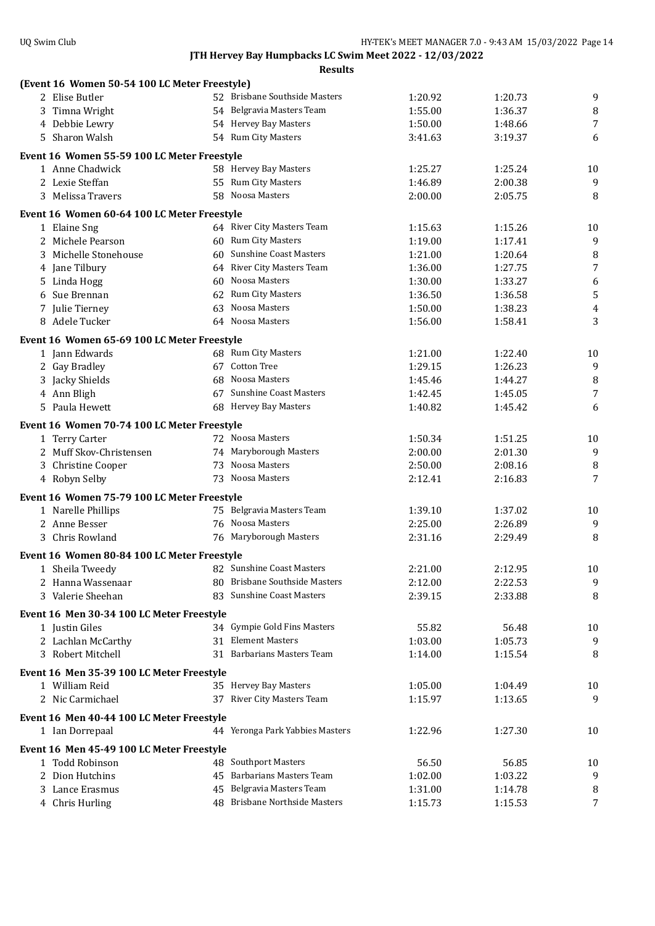| (Event 16 Women 50-54 100 LC Meter Freestyle) |    |                                 |                  |                    |                  |
|-----------------------------------------------|----|---------------------------------|------------------|--------------------|------------------|
| 2 Elise Butler                                |    | 52 Brisbane Southside Masters   | 1:20.92          | 1:20.73            | 9                |
| 3 Timna Wright                                |    | 54 Belgravia Masters Team       | 1:55.00          | 1:36.37            | 8                |
| 4 Debbie Lewry                                |    | 54 Hervey Bay Masters           | 1:50.00          | 1:48.66            | 7                |
| 5 Sharon Walsh                                |    | 54 Rum City Masters             | 3:41.63          | 3:19.37            | 6                |
| Event 16 Women 55-59 100 LC Meter Freestyle   |    |                                 |                  |                    |                  |
| 1 Anne Chadwick                               |    | 58 Hervey Bay Masters           | 1:25.27          | 1:25.24            | 10               |
| 2 Lexie Steffan                               |    | 55 Rum City Masters             | 1:46.89          | 2:00.38            | $\overline{9}$   |
| 3 Melissa Travers                             |    | 58 Noosa Masters                | 2:00.00          | 2:05.75            | 8                |
| Event 16 Women 60-64 100 LC Meter Freestyle   |    |                                 |                  |                    |                  |
| 1 Elaine Sng                                  |    | 64 River City Masters Team      | 1:15.63          | 1:15.26            | 10               |
| 2 Michele Pearson                             |    | 60 Rum City Masters             | 1:19.00          | 1:17.41            | 9                |
| 3 Michelle Stonehouse                         |    | 60 Sunshine Coast Masters       | 1:21.00          | 1:20.64            | 8                |
| 4 Jane Tilbury                                |    | 64 River City Masters Team      | 1:36.00          | 1:27.75            | $\overline{7}$   |
| 5 Linda Hogg                                  |    | 60 Noosa Masters                | 1:30.00          | 1:33.27            | 6                |
| 6 Sue Brennan                                 | 62 | Rum City Masters                | 1:36.50          | 1:36.58            | 5                |
| 7 Julie Tierney                               | 63 | Noosa Masters                   | 1:50.00          | 1:38.23            | $\boldsymbol{4}$ |
| 8 Adele Tucker                                |    | 64 Noosa Masters                | 1:56.00          | 1:58.41            | 3                |
| Event 16 Women 65-69 100 LC Meter Freestyle   |    |                                 |                  |                    |                  |
| 1 Jann Edwards                                |    | 68 Rum City Masters             | 1:21.00          | 1:22.40            | 10               |
| 2 Gay Bradley                                 |    | 67 Cotton Tree                  | 1:29.15          | 1:26.23            | 9                |
| 3 Jacky Shields                               |    | 68 Noosa Masters                | 1:45.46          | 1:44.27            | 8                |
| 4 Ann Bligh                                   |    | 67 Sunshine Coast Masters       | 1:42.45          | 1:45.05            | 7                |
| 5 Paula Hewett                                |    | 68 Hervey Bay Masters           | 1:40.82          | 1:45.42            | 6                |
| Event 16 Women 70-74 100 LC Meter Freestyle   |    |                                 |                  |                    |                  |
| 1 Terry Carter                                |    | 72 Noosa Masters                | 1:50.34          | 1:51.25            | 10               |
| 2 Muff Skov-Christensen                       |    | 74 Maryborough Masters          | 2:00.00          | 2:01.30            | 9                |
| 3 Christine Cooper                            |    | 73 Noosa Masters                | 2:50.00          | 2:08.16            | 8                |
| 4 Robyn Selby                                 |    | 73 Noosa Masters                | 2:12.41          | 2:16.83            | 7                |
| Event 16 Women 75-79 100 LC Meter Freestyle   |    |                                 |                  |                    |                  |
| 1 Narelle Phillips                            |    | 75 Belgravia Masters Team       | 1:39.10          | 1:37.02            | 10               |
| 2 Anne Besser                                 |    | 76 Noosa Masters                | 2:25.00          | 2:26.89            | 9                |
| 3 Chris Rowland                               |    | 76 Maryborough Masters          | 2:31.16          | 2:29.49            | 8                |
| Event 16 Women 80-84 100 LC Meter Freestyle   |    |                                 |                  |                    |                  |
| 1 Sheila Tweedy                               |    | 82 Sunshine Coast Masters       | 2:21.00          | 2:12.95            | 10               |
| 2 Hanna Wassenaar                             |    | 80 Brisbane Southside Masters   | 2:12.00          | 2:22.53            | 9                |
| 3 Valerie Sheehan                             |    | 83 Sunshine Coast Masters       | 2:39.15          | 2:33.88            | 8                |
|                                               |    |                                 |                  |                    |                  |
| Event 16 Men 30-34 100 LC Meter Freestyle     |    | 34 Gympie Gold Fins Masters     |                  |                    |                  |
| 1 Justin Giles                                |    | 31 Element Masters              | 55.82<br>1:03.00 | 56.48              | 10<br>9          |
| 2 Lachlan McCarthy<br>3 Robert Mitchell       |    | 31 Barbarians Masters Team      | 1:14.00          | 1:05.73<br>1:15.54 | 8                |
|                                               |    |                                 |                  |                    |                  |
| Event 16 Men 35-39 100 LC Meter Freestyle     |    |                                 |                  |                    |                  |
| 1 William Reid                                |    | 35 Hervey Bay Masters           | 1:05.00          | 1:04.49            | 10               |
| 2 Nic Carmichael                              |    | 37 River City Masters Team      | 1:15.97          | 1:13.65            | 9                |
| Event 16 Men 40-44 100 LC Meter Freestyle     |    |                                 |                  |                    |                  |
| 1 Ian Dorrepaal                               |    | 44 Yeronga Park Yabbies Masters | 1:22.96          | 1:27.30            | 10               |
| Event 16 Men 45-49 100 LC Meter Freestyle     |    |                                 |                  |                    |                  |
| 1 Todd Robinson                               |    | 48 Southport Masters            | 56.50            | 56.85              | 10               |
| 2 Dion Hutchins                               |    | 45 Barbarians Masters Team      | 1:02.00          | 1:03.22            | 9                |
| 3 Lance Erasmus                               |    | 45 Belgravia Masters Team       | 1:31.00          | 1:14.78            | 8                |
| 4 Chris Hurling                               |    | 48 Brisbane Northside Masters   | 1:15.73          | 1:15.53            | 7                |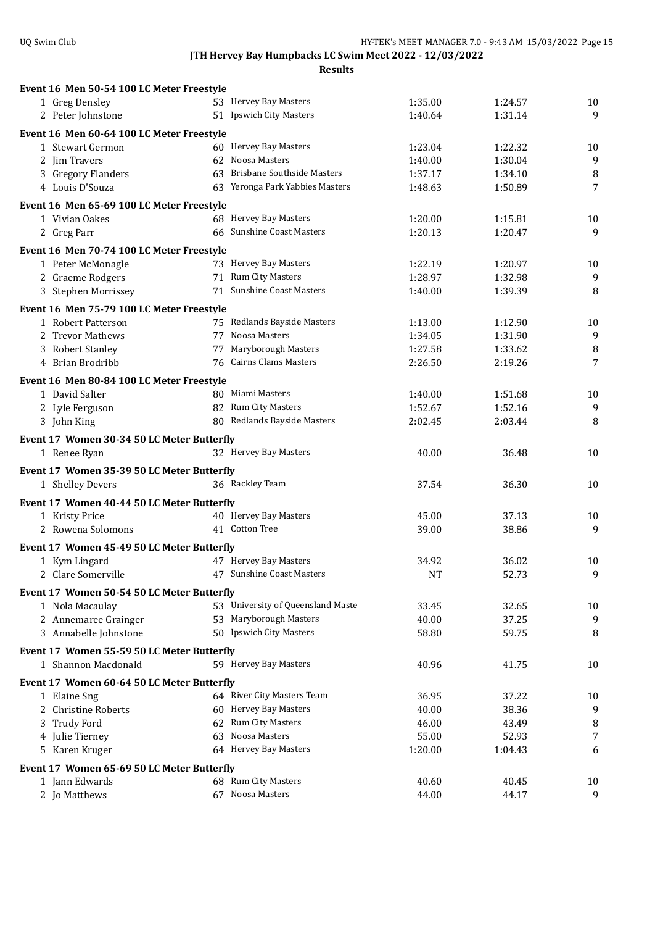| Event 16 Men 50-54 100 LC Meter Freestyle                       |                                   |           |         |                |
|-----------------------------------------------------------------|-----------------------------------|-----------|---------|----------------|
| 1 Greg Densley                                                  | 53 Hervey Bay Masters             | 1:35.00   | 1:24.57 | 10             |
| 2 Peter Johnstone                                               | 51 Ipswich City Masters           | 1:40.64   | 1:31.14 | 9              |
| Event 16 Men 60-64 100 LC Meter Freestyle                       |                                   |           |         |                |
| 1 Stewart Germon                                                | 60 Hervey Bay Masters             | 1:23.04   | 1:22.32 | 10             |
| 2 Jim Travers                                                   | 62 Noosa Masters                  | 1:40.00   | 1:30.04 | $\overline{9}$ |
| 3 Gregory Flanders                                              | 63 Brisbane Southside Masters     | 1:37.17   | 1:34.10 | 8              |
| 4 Louis D'Souza                                                 | 63 Yeronga Park Yabbies Masters   | 1:48.63   | 1:50.89 | 7              |
| Event 16 Men 65-69 100 LC Meter Freestyle                       |                                   |           |         |                |
| 1 Vivian Oakes                                                  | 68 Hervey Bay Masters             | 1:20.00   | 1:15.81 | 10             |
| 2 Greg Parr                                                     | 66 Sunshine Coast Masters         | 1:20.13   | 1:20.47 | 9              |
| Event 16 Men 70-74 100 LC Meter Freestyle                       |                                   |           |         |                |
| 1 Peter McMonagle                                               | 73 Hervey Bay Masters             | 1:22.19   | 1:20.97 | 10             |
| 2 Graeme Rodgers                                                | 71 Rum City Masters               | 1:28.97   | 1:32.98 | 9              |
| 3 Stephen Morrissey                                             | 71 Sunshine Coast Masters         | 1:40.00   | 1:39.39 | 8              |
|                                                                 |                                   |           |         |                |
| Event 16 Men 75-79 100 LC Meter Freestyle<br>1 Robert Patterson | 75 Redlands Bayside Masters       | 1:13.00   | 1:12.90 |                |
| 2 Trevor Mathews                                                | 77 Noosa Masters                  | 1:34.05   | 1:31.90 | 10<br>9        |
| 3 Robert Stanley                                                | 77 Maryborough Masters            | 1:27.58   | 1:33.62 | 8              |
| 4 Brian Brodribb                                                | 76 Cairns Clams Masters           | 2:26.50   | 2:19.26 | 7              |
|                                                                 |                                   |           |         |                |
| Event 16 Men 80-84 100 LC Meter Freestyle                       |                                   |           |         |                |
| 1 David Salter                                                  | 80 Miami Masters                  | 1:40.00   | 1:51.68 | 10             |
| 2 Lyle Ferguson                                                 | 82 Rum City Masters               | 1:52.67   | 1:52.16 | 9              |
| 3 John King                                                     | 80 Redlands Bayside Masters       | 2:02.45   | 2:03.44 | 8              |
| Event 17 Women 30-34 50 LC Meter Butterfly                      |                                   |           |         |                |
| 1 Renee Ryan                                                    | 32 Hervey Bay Masters             | 40.00     | 36.48   | 10             |
| Event 17 Women 35-39 50 LC Meter Butterfly                      |                                   |           |         |                |
| 1 Shelley Devers                                                | 36 Rackley Team                   | 37.54     | 36.30   | 10             |
| Event 17 Women 40-44 50 LC Meter Butterfly                      |                                   |           |         |                |
| 1 Kristy Price                                                  | 40 Hervey Bay Masters             | 45.00     | 37.13   | 10             |
| 2 Rowena Solomons                                               | 41 Cotton Tree                    | 39.00     | 38.86   | 9              |
| Event 17 Women 45-49 50 LC Meter Butterfly                      |                                   |           |         |                |
| 1 Kym Lingard                                                   | 47 Hervey Bay Masters             | 34.92     | 36.02   | 10             |
| 2 Clare Somerville                                              | 47 Sunshine Coast Masters         | <b>NT</b> | 52.73   | 9              |
|                                                                 |                                   |           |         |                |
| Event 17 Women 50-54 50 LC Meter Butterfly                      | 53 University of Queensland Maste | 33.45     | 32.65   |                |
| 1 Nola Macaulay<br>2 Annemaree Grainger                         | 53 Maryborough Masters            | 40.00     | 37.25   | 10<br>9        |
| 3 Annabelle Johnstone                                           | 50 Ipswich City Masters           | 58.80     | 59.75   | 8              |
|                                                                 |                                   |           |         |                |
| Event 17 Women 55-59 50 LC Meter Butterfly                      |                                   |           |         |                |
| 1 Shannon Macdonald                                             | 59 Hervey Bay Masters             | 40.96     | 41.75   | 10             |
| Event 17 Women 60-64 50 LC Meter Butterfly                      |                                   |           |         |                |
| 1 Elaine Sng                                                    | 64 River City Masters Team        | 36.95     | 37.22   | 10             |
| <b>Christine Roberts</b><br>2                                   | 60 Hervey Bay Masters             | 40.00     | 38.36   | 9              |
| 3 Trudy Ford                                                    | 62 Rum City Masters               | 46.00     | 43.49   | $\, 8$         |
| 4 Julie Tierney                                                 | 63 Noosa Masters                  | 55.00     | 52.93   | 7              |
| 5 Karen Kruger                                                  | 64 Hervey Bay Masters             | 1:20.00   | 1:04.43 | 6              |
| Event 17 Women 65-69 50 LC Meter Butterfly                      |                                   |           |         |                |
| 1 Jann Edwards                                                  | 68 Rum City Masters               | 40.60     | 40.45   | 10             |
| 2 Jo Matthews                                                   | 67 Noosa Masters                  | 44.00     | 44.17   | 9              |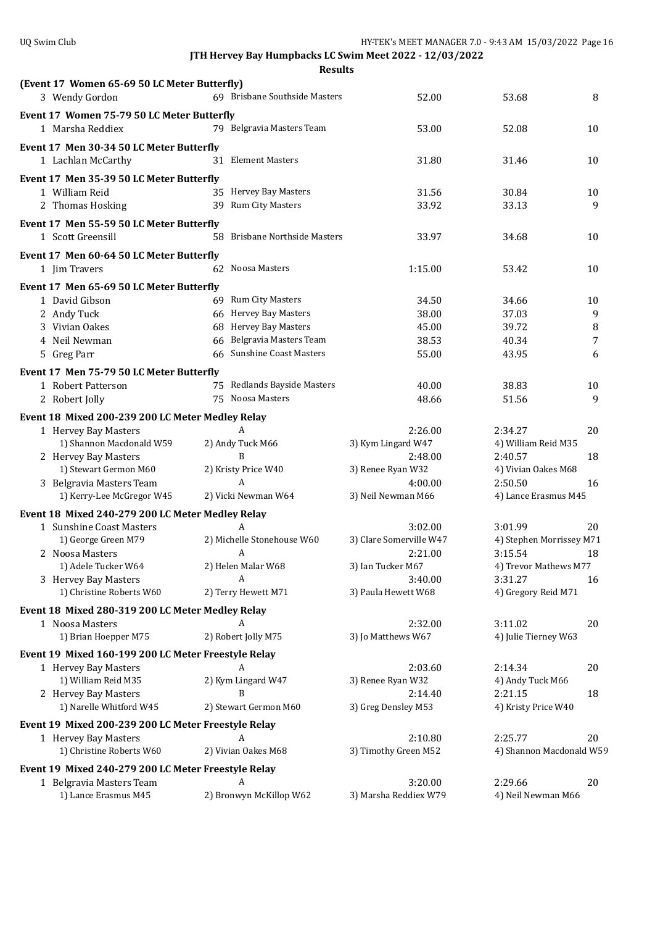| (Event 17 Women 65-69 50 LC Meter Butterfly)        |                               |                                |                                     |    |
|-----------------------------------------------------|-------------------------------|--------------------------------|-------------------------------------|----|
| 3 Wendy Gordon                                      | 69 Brisbane Southside Masters | 52.00                          | 53.68                               | 8  |
| Event 17 Women 75-79 50 LC Meter Butterfly          |                               |                                |                                     |    |
| 1 Marsha Reddiex                                    | 79 Belgravia Masters Team     | 53.00                          | 52.08                               | 10 |
|                                                     |                               |                                |                                     |    |
| Event 17 Men 30-34 50 LC Meter Butterfly            |                               |                                |                                     |    |
| 1 Lachlan McCarthy                                  | 31 Element Masters            | 31.80                          | 31.46                               | 10 |
| Event 17 Men 35-39 50 LC Meter Butterfly            |                               |                                |                                     |    |
| 1 William Reid                                      | 35 Hervey Bay Masters         | 31.56                          | 30.84                               | 10 |
| 2 Thomas Hosking                                    | 39 Rum City Masters           | 33.92                          | 33.13                               | 9  |
| Event 17 Men 55-59 50 LC Meter Butterfly            |                               |                                |                                     |    |
| 1 Scott Greensill                                   | 58 Brisbane Northside Masters | 33.97                          | 34.68                               | 10 |
|                                                     |                               |                                |                                     |    |
| Event 17 Men 60-64 50 LC Meter Butterfly            |                               |                                |                                     |    |
| 1 Jim Travers                                       | 62 Noosa Masters              | 1:15.00                        | 53.42                               | 10 |
| Event 17 Men 65-69 50 LC Meter Butterfly            |                               |                                |                                     |    |
| 1 David Gibson                                      | 69 Rum City Masters           | 34.50                          | 34.66                               | 10 |
| 2 Andy Tuck                                         | 66 Hervey Bay Masters         | 38.00                          | 37.03                               | 9  |
| 3 Vivian Oakes                                      | 68 Hervey Bay Masters         | 45.00                          | 39.72                               | 8  |
| 4 Neil Newman                                       | 66 Belgravia Masters Team     | 38.53                          | 40.34                               | 7  |
| 5 Greg Parr                                         | 66 Sunshine Coast Masters     | 55.00                          | 43.95                               | 6  |
|                                                     |                               |                                |                                     |    |
| Event 17 Men 75-79 50 LC Meter Butterfly            |                               |                                |                                     |    |
| 1 Robert Patterson                                  | 75 Redlands Bayside Masters   | 40.00                          | 38.83                               | 10 |
| 2 Robert Jolly                                      | 75 Noosa Masters              | 48.66                          | 51.56                               | 9  |
| Event 18 Mixed 200-239 200 LC Meter Medley Relay    |                               |                                |                                     |    |
| 1 Hervey Bay Masters                                | A                             | 2:26.00                        | 2:34.27                             | 20 |
| 1) Shannon Macdonald W59                            | 2) Andy Tuck M66              | 3) Kym Lingard W47             | 4) William Reid M35                 |    |
| 2 Hervey Bay Masters                                | R                             | 2:48.00                        | 2:40.57                             | 18 |
| 1) Stewart Germon M60                               | 2) Kristy Price W40           | 3) Renee Ryan W32              | 4) Vivian Oakes M68                 |    |
| 3 Belgravia Masters Team                            | A                             | 4:00.00                        | 2:50.50                             | 16 |
| 1) Kerry-Lee McGregor W45                           | 2) Vicki Newman W64           | 3) Neil Newman M66             | 4) Lance Erasmus M45                |    |
| Event 18 Mixed 240-279 200 LC Meter Medley Relay    |                               |                                |                                     |    |
|                                                     | A                             | 3:02.00                        | 3:01.99                             | 20 |
| 1 Sunshine Coast Masters                            | 2) Michelle Stonehouse W60    | 3) Clare Somerville W47        |                                     |    |
| 1) George Green M79                                 | A                             |                                | 4) Stephen Morrissey M71<br>3:15.54 | 18 |
| 2 Noosa Masters                                     | 2) Helen Malar W68            | 2:21.00<br>3) Ian Tucker M67   |                                     |    |
| 1) Adele Tucker W64<br>3 Hervey Bay Masters         | A                             |                                | 4) Trevor Mathews M77<br>3:31.27    |    |
| 1) Christine Roberts W60                            | 2) Terry Hewett M71           | 3:40.00<br>3) Paula Hewett W68 | 4) Gregory Reid M71                 | 16 |
|                                                     |                               |                                |                                     |    |
| Event 18 Mixed 280-319 200 LC Meter Medley Relay    |                               |                                |                                     |    |
| 1 Noosa Masters                                     | A                             | 2:32.00                        | 3:11.02                             | 20 |
| 1) Brian Hoepper M75                                | 2) Robert Jolly M75           | 3) Jo Matthews W67             | 4) Julie Tierney W63                |    |
| Event 19 Mixed 160-199 200 LC Meter Freestyle Relay |                               |                                |                                     |    |
| 1 Hervey Bay Masters                                | A                             | 2:03.60                        | 2:14.34                             | 20 |
| 1) William Reid M35                                 | 2) Kym Lingard W47            | 3) Renee Ryan W32              | 4) Andy Tuck M66                    |    |
| 2 Hervey Bay Masters                                | B                             | 2:14.40                        | 2:21.15                             | 18 |
| 1) Narelle Whitford W45                             | 2) Stewart Germon M60         | 3) Greg Densley M53            | 4) Kristy Price W40                 |    |
|                                                     |                               |                                |                                     |    |
| Event 19 Mixed 200-239 200 LC Meter Freestyle Relay |                               |                                |                                     |    |
| 1 Hervey Bay Masters                                | A                             | 2:10.80                        | 2:25.77                             | 20 |
| 1) Christine Roberts W60                            | 2) Vivian Oakes M68           | 3) Timothy Green M52           | 4) Shannon Macdonald W59            |    |
| Event 19 Mixed 240-279 200 LC Meter Freestyle Relay |                               |                                |                                     |    |
| 1 Belgravia Masters Team                            | A                             | 3:20.00                        | 2:29.66                             | 20 |
| 1) Lance Erasmus M45                                | 2) Bronwyn McKillop W62       | 3) Marsha Reddiex W79          | 4) Neil Newman M66                  |    |